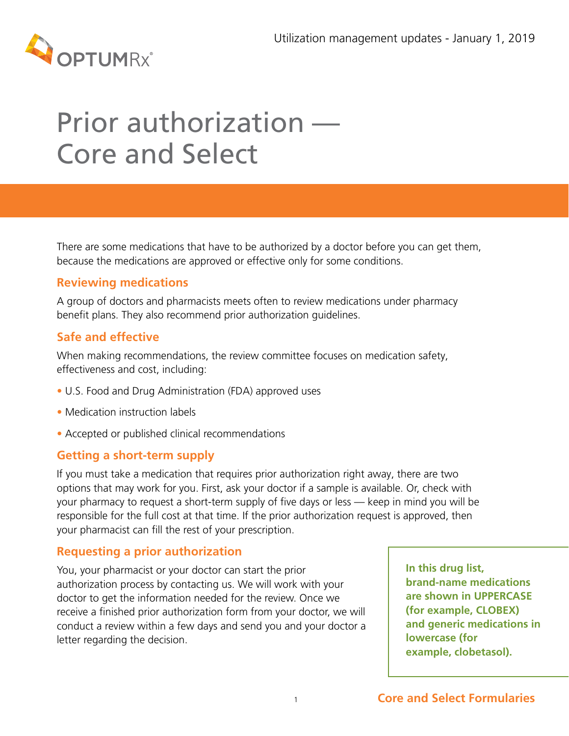

# Prior authorization — Core and Select

There are some medications that have to be authorized by a doctor before you can get them, because the medications are approved or effective only for some conditions.

## **Reviewing medications**

A group of doctors and pharmacists meets often to review medications under pharmacy benefit plans. They also recommend prior authorization guidelines.

## **Safe and effective**

When making recommendations, the review committee focuses on medication safety, effectiveness and cost, including:

- U.S. Food and Drug Administration (FDA) approved uses
- Medication instruction labels
- Accepted or published clinical recommendations

#### **Getting a short-term supply**

If you must take a medication that requires prior authorization right away, there are two options that may work for you. First, ask your doctor if a sample is available. Or, check with your pharmacy to request a short-term supply of five days or less — keep in mind you will be responsible for the full cost at that time. If the prior authorization request is approved, then your pharmacist can fill the rest of your prescription.

### **Requesting a prior authorization**

You, your pharmacist or your doctor can start the prior authorization process by contacting us. We will work with your doctor to get the information needed for the review. Once we receive a finished prior authorization form from your doctor, we will conduct a review within a few days and send you and your doctor a letter regarding the decision.

**In this drug list, brand-name medications are shown in UPPERCASE (for example, CLOBEX) and generic medications in lowercase (for example, clobetasol).**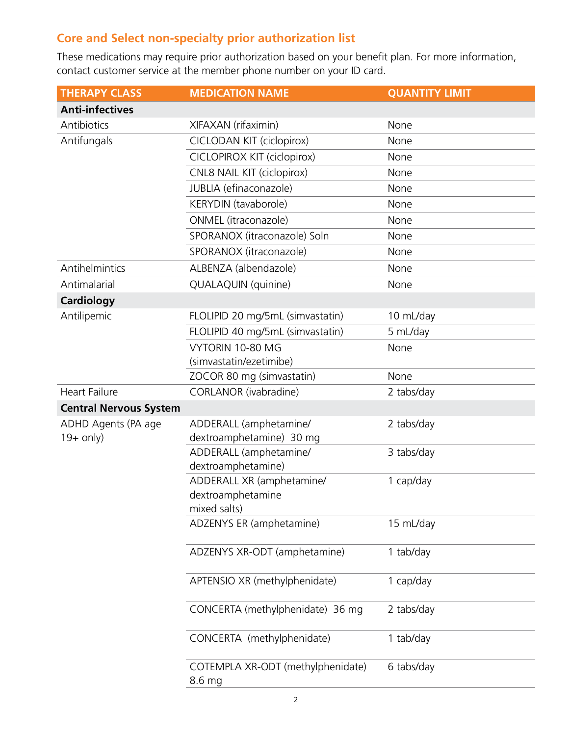# **Core and Select non-specialty prior authorization list**

These medications may require prior authorization based on your benefit plan. For more information, contact customer service at the member phone number on your ID card.

| <b>THERAPY CLASS</b>          | <b>MEDICATION NAME</b>                         | <b>QUANTITY LIMIT</b> |
|-------------------------------|------------------------------------------------|-----------------------|
| <b>Anti-infectives</b>        |                                                |                       |
| Antibiotics                   | XIFAXAN (rifaximin)                            | None                  |
| Antifungals                   | CICLODAN KIT (ciclopirox)                      | None                  |
|                               | CICLOPIROX KIT (ciclopirox)                    | None                  |
|                               | CNL8 NAIL KIT (ciclopirox)                     | None                  |
|                               | JUBLIA (efinaconazole)                         | None                  |
|                               | KERYDIN (tavaborole)                           | None                  |
|                               | ONMEL (itraconazole)                           | None                  |
|                               | SPORANOX (itraconazole) Soln                   | None                  |
|                               | SPORANOX (itraconazole)                        | None                  |
| Antihelmintics                | ALBENZA (albendazole)                          | None                  |
| Antimalarial                  | QUALAQUIN (quinine)                            | None                  |
| <b>Cardiology</b>             |                                                |                       |
| Antilipemic                   | FLOLIPID 20 mg/5mL (simvastatin)               | 10 mL/day             |
|                               | FLOLIPID 40 mg/5mL (simvastatin)               | 5 mL/day              |
|                               | VYTORIN 10-80 MG                               | None                  |
|                               | (simvastatin/ezetimibe)                        |                       |
|                               | ZOCOR 80 mg (simvastatin)                      | None                  |
| <b>Heart Failure</b>          | CORLANOR (ivabradine)                          | 2 tabs/day            |
| <b>Central Nervous System</b> |                                                |                       |
| ADHD Agents (PA age           | ADDERALL (amphetamine/                         | 2 tabs/day            |
| $19+$ only)                   | dextroamphetamine) 30 mg                       |                       |
|                               | ADDERALL (amphetamine/                         | 3 tabs/day            |
|                               | dextroamphetamine)                             |                       |
|                               | ADDERALL XR (amphetamine/<br>dextroamphetamine | 1 cap/day             |
|                               | mixed salts)                                   |                       |
|                               | ADZENYS ER (amphetamine)                       | 15 mL/day             |
|                               |                                                |                       |
|                               | ADZENYS XR-ODT (amphetamine)                   | 1 tab/day             |
|                               | APTENSIO XR (methylphenidate)                  | 1 cap/day             |
|                               | CONCERTA (methylphenidate) 36 mg               | 2 tabs/day            |
|                               | CONCERTA (methylphenidate)                     | 1 tab/day             |
|                               | COTEMPLA XR-ODT (methylphenidate)<br>8.6 mg    | 6 tabs/day            |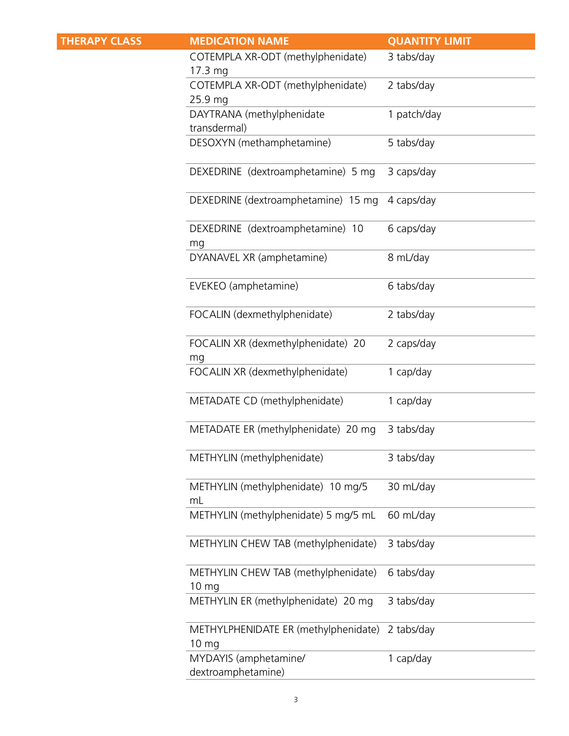| <b>THERAPY CLASS</b> | <b>MEDICATION NAME</b>                                  | <b>QUANTITY LIMIT</b> |
|----------------------|---------------------------------------------------------|-----------------------|
|                      | COTEMPLA XR-ODT (methylphenidate)<br>$17.3 \text{ mg}$  | 3 tabs/day            |
|                      | COTEMPLA XR-ODT (methylphenidate)<br>25.9 mg            | 2 tabs/day            |
|                      | DAYTRANA (methylphenidate<br>transdermal)               | 1 patch/day           |
|                      | DESOXYN (methamphetamine)                               | 5 tabs/day            |
|                      | DEXEDRINE (dextroamphetamine) 5 mg                      | 3 caps/day            |
|                      | DEXEDRINE (dextroamphetamine) 15 mg                     | 4 caps/day            |
|                      | DEXEDRINE (dextroamphetamine) 10<br>mg                  | 6 caps/day            |
|                      | DYANAVEL XR (amphetamine)                               | 8 mL/day              |
|                      | EVEKEO (amphetamine)                                    | 6 tabs/day            |
|                      | FOCALIN (dexmethylphenidate)                            | 2 tabs/day            |
|                      | FOCALIN XR (dexmethylphenidate) 20<br>mg                | 2 caps/day            |
|                      | FOCALIN XR (dexmethylphenidate)                         | 1 cap/day             |
|                      | METADATE CD (methylphenidate)                           | 1 cap/day             |
|                      | METADATE ER (methylphenidate) 20 mg                     | 3 tabs/day            |
|                      | METHYLIN (methylphenidate)                              | 3 tabs/day            |
|                      | METHYLIN (methylphenidate) 10 mg/5<br>mL                | 30 mL/day             |
|                      | METHYLIN (methylphenidate) 5 mg/5 mL                    | 60 mL/day             |
|                      | METHYLIN CHEW TAB (methylphenidate)                     | 3 tabs/day            |
|                      | METHYLIN CHEW TAB (methylphenidate)<br>10 <sub>mg</sub> | 6 tabs/day            |
|                      | METHYLIN ER (methylphenidate) 20 mg                     | 3 tabs/day            |
|                      | METHYLPHENIDATE ER (methylphenidate)<br>10 mg           | 2 tabs/day            |
|                      | MYDAYIS (amphetamine/<br>dextroamphetamine)             | 1 cap/day             |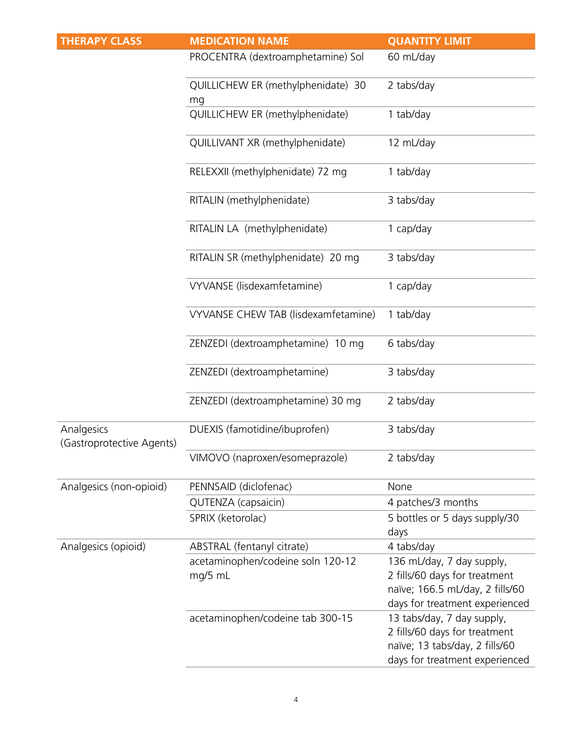| <b>THERAPY CLASS</b>                    | <b>MEDICATION NAME</b>                       | <b>QUANTITY LIMIT</b>                                                                                                           |
|-----------------------------------------|----------------------------------------------|---------------------------------------------------------------------------------------------------------------------------------|
|                                         | PROCENTRA (dextroamphetamine) Sol            | 60 mL/day                                                                                                                       |
|                                         | QUILLICHEW ER (methylphenidate) 30<br>mg     | 2 tabs/day                                                                                                                      |
|                                         | QUILLICHEW ER (methylphenidate)              | 1 tab/day                                                                                                                       |
|                                         | QUILLIVANT XR (methylphenidate)              | 12 mL/day                                                                                                                       |
|                                         | RELEXXII (methylphenidate) 72 mg             | 1 tab/day                                                                                                                       |
|                                         | RITALIN (methylphenidate)                    | 3 tabs/day                                                                                                                      |
|                                         | RITALIN LA (methylphenidate)                 | 1 cap/day                                                                                                                       |
|                                         | RITALIN SR (methylphenidate) 20 mg           | 3 tabs/day                                                                                                                      |
|                                         | VYVANSE (lisdexamfetamine)                   | 1 cap/day                                                                                                                       |
|                                         | VYVANSE CHEW TAB (lisdexamfetamine)          | 1 tab/day                                                                                                                       |
|                                         | ZENZEDI (dextroamphetamine) 10 mg            | 6 tabs/day                                                                                                                      |
|                                         | ZENZEDI (dextroamphetamine)                  | 3 tabs/day                                                                                                                      |
|                                         | ZENZEDI (dextroamphetamine) 30 mg            | 2 tabs/day                                                                                                                      |
| Analgesics<br>(Gastroprotective Agents) | DUEXIS (famotidine/ibuprofen)                | 3 tabs/day                                                                                                                      |
|                                         | VIMOVO (naproxen/esomeprazole)               | 2 tabs/day                                                                                                                      |
| Analgesics (non-opioid)                 | PENNSAID (diclofenac)                        | None                                                                                                                            |
|                                         | QUTENZA (capsaicin)                          | 4 patches/3 months                                                                                                              |
|                                         | SPRIX (ketorolac)                            | 5 bottles or 5 days supply/30<br>days                                                                                           |
| Analgesics (opioid)                     | ABSTRAL (fentanyl citrate)                   | 4 tabs/day                                                                                                                      |
|                                         | acetaminophen/codeine soln 120-12<br>mg/5 mL | 136 mL/day, 7 day supply,<br>2 fills/60 days for treatment<br>naïve; 166.5 mL/day, 2 fills/60<br>days for treatment experienced |
|                                         | acetaminophen/codeine tab 300-15             | 13 tabs/day, 7 day supply,<br>2 fills/60 days for treatment<br>naïve; 13 tabs/day, 2 fills/60<br>days for treatment experienced |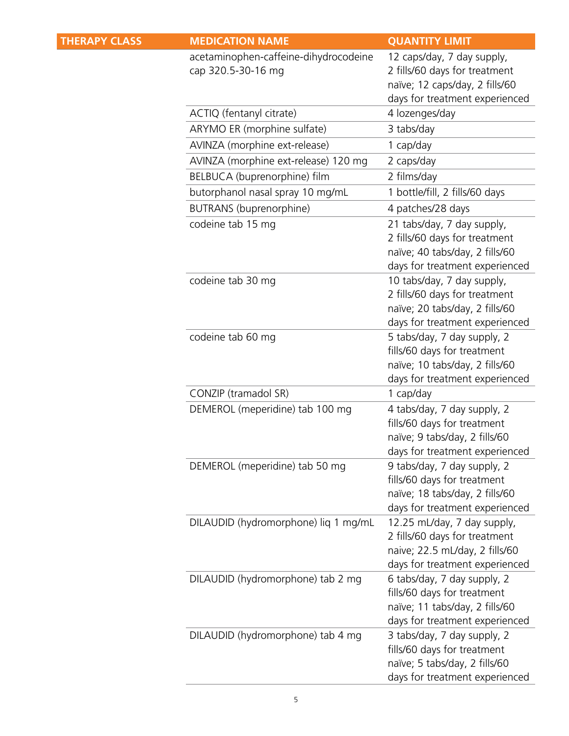| <b>THERAPY CLASS</b> | <b>MEDICATION NAME</b>                                      | <b>QUANTITY LIMIT</b>                                                                                                            |
|----------------------|-------------------------------------------------------------|----------------------------------------------------------------------------------------------------------------------------------|
|                      | acetaminophen-caffeine-dihydrocodeine<br>cap 320.5-30-16 mg | 12 caps/day, 7 day supply,<br>2 fills/60 days for treatment<br>naïve; 12 caps/day, 2 fills/60<br>days for treatment experienced  |
|                      | ACTIQ (fentanyl citrate)                                    | 4 lozenges/day                                                                                                                   |
|                      | ARYMO ER (morphine sulfate)                                 | 3 tabs/day                                                                                                                       |
|                      | AVINZA (morphine ext-release)                               | 1 cap/day                                                                                                                        |
|                      | AVINZA (morphine ext-release) 120 mg                        | 2 caps/day                                                                                                                       |
|                      | BELBUCA (buprenorphine) film                                | 2 films/day                                                                                                                      |
|                      | butorphanol nasal spray 10 mg/mL                            | 1 bottle/fill, 2 fills/60 days                                                                                                   |
|                      | BUTRANS (buprenorphine)                                     | 4 patches/28 days                                                                                                                |
|                      | codeine tab 15 mg                                           | 21 tabs/day, 7 day supply,<br>2 fills/60 days for treatment<br>naïve; 40 tabs/day, 2 fills/60<br>days for treatment experienced  |
|                      | codeine tab 30 mg                                           | 10 tabs/day, 7 day supply,<br>2 fills/60 days for treatment<br>naïve; 20 tabs/day, 2 fills/60<br>days for treatment experienced  |
|                      | codeine tab 60 mg                                           | 5 tabs/day, 7 day supply, 2<br>fills/60 days for treatment<br>naïve; 10 tabs/day, 2 fills/60<br>days for treatment experienced   |
|                      | CONZIP (tramadol SR)                                        | 1 cap/day                                                                                                                        |
|                      | DEMEROL (meperidine) tab 100 mg                             | 4 tabs/day, 7 day supply, 2<br>fills/60 days for treatment<br>naïve; 9 tabs/day, 2 fills/60<br>days for treatment experienced    |
|                      | DEMEROL (meperidine) tab 50 mg                              | 9 tabs/day, 7 day supply, 2<br>fills/60 days for treatment<br>naïve; 18 tabs/day, 2 fills/60<br>days for treatment experienced   |
|                      | DILAUDID (hydromorphone) lig 1 mg/mL                        | 12.25 mL/day, 7 day supply,<br>2 fills/60 days for treatment<br>naive; 22.5 mL/day, 2 fills/60<br>days for treatment experienced |
|                      | DILAUDID (hydromorphone) tab 2 mg                           | 6 tabs/day, 7 day supply, 2<br>fills/60 days for treatment<br>naïve; 11 tabs/day, 2 fills/60<br>days for treatment experienced   |
|                      | DILAUDID (hydromorphone) tab 4 mg                           | 3 tabs/day, 7 day supply, 2<br>fills/60 days for treatment<br>naïve; 5 tabs/day, 2 fills/60<br>days for treatment experienced    |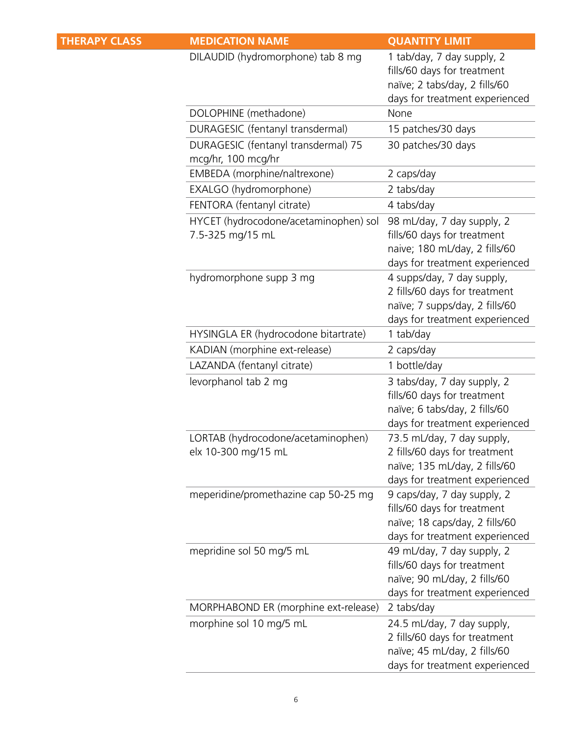| <b>THERAPY CLASS</b> | <b>MEDICATION NAME</b>                                    | <b>QUANTITY LIMIT</b>                                                                                                           |
|----------------------|-----------------------------------------------------------|---------------------------------------------------------------------------------------------------------------------------------|
|                      | DILAUDID (hydromorphone) tab 8 mg                         | 1 tab/day, 7 day supply, 2<br>fills/60 days for treatment<br>naïve; 2 tabs/day, 2 fills/60<br>days for treatment experienced    |
|                      | DOLOPHINE (methadone)                                     | None                                                                                                                            |
|                      | DURAGESIC (fentanyl transdermal)                          | 15 patches/30 days                                                                                                              |
|                      | DURAGESIC (fentanyl transdermal) 75<br>mcg/hr, 100 mcg/hr | 30 patches/30 days                                                                                                              |
|                      | EMBEDA (morphine/naltrexone)                              | 2 caps/day                                                                                                                      |
|                      | EXALGO (hydromorphone)                                    | 2 tabs/day                                                                                                                      |
|                      | FENTORA (fentanyl citrate)                                | 4 tabs/day                                                                                                                      |
|                      | HYCET (hydrocodone/acetaminophen) sol<br>7.5-325 mg/15 mL | 98 mL/day, 7 day supply, 2<br>fills/60 days for treatment<br>naive; 180 mL/day, 2 fills/60<br>days for treatment experienced    |
|                      | hydromorphone supp 3 mg                                   | 4 supps/day, 7 day supply,<br>2 fills/60 days for treatment<br>naïve; 7 supps/day, 2 fills/60<br>days for treatment experienced |
|                      | HYSINGLA ER (hydrocodone bitartrate)                      | 1 tab/day                                                                                                                       |
|                      | KADIAN (morphine ext-release)                             | 2 caps/day                                                                                                                      |
|                      | LAZANDA (fentanyl citrate)                                | 1 bottle/day                                                                                                                    |
|                      | levorphanol tab 2 mg                                      | 3 tabs/day, 7 day supply, 2<br>fills/60 days for treatment<br>naïve; 6 tabs/day, 2 fills/60<br>days for treatment experienced   |
|                      | LORTAB (hydrocodone/acetaminophen)<br>elx 10-300 mg/15 mL | 73.5 mL/day, 7 day supply,<br>2 fills/60 days for treatment<br>naïve; 135 mL/day, 2 fills/60<br>days for treatment experienced  |
|                      | meperidine/promethazine cap 50-25 mg                      | 9 caps/day, 7 day supply, 2<br>fills/60 days for treatment<br>naïve; 18 caps/day, 2 fills/60<br>days for treatment experienced  |
|                      | mepridine sol 50 mg/5 mL                                  | 49 mL/day, 7 day supply, 2<br>fills/60 days for treatment<br>naïve; 90 mL/day, 2 fills/60<br>days for treatment experienced     |
|                      | MORPHABOND ER (morphine ext-release)                      | 2 tabs/day                                                                                                                      |
|                      | morphine sol 10 mg/5 mL                                   | 24.5 mL/day, 7 day supply,<br>2 fills/60 days for treatment<br>naïve; 45 mL/day, 2 fills/60<br>days for treatment experienced   |
|                      |                                                           |                                                                                                                                 |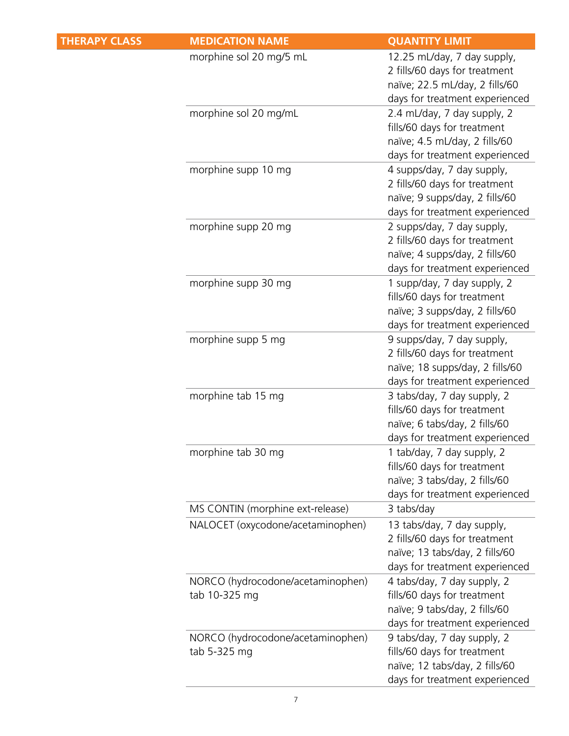| <b>THERAPY CLASS</b> | <b>MEDICATION NAME</b>                             | <b>QUANTITY LIMIT</b>                                                                                                            |
|----------------------|----------------------------------------------------|----------------------------------------------------------------------------------------------------------------------------------|
|                      | morphine sol 20 mg/5 mL                            | 12.25 mL/day, 7 day supply,<br>2 fills/60 days for treatment<br>naïve; 22.5 mL/day, 2 fills/60<br>days for treatment experienced |
|                      | morphine sol 20 mg/mL                              | 2.4 mL/day, 7 day supply, 2<br>fills/60 days for treatment<br>naïve; 4.5 mL/day, 2 fills/60<br>days for treatment experienced    |
|                      | morphine supp 10 mg                                | 4 supps/day, 7 day supply,<br>2 fills/60 days for treatment<br>naïve; 9 supps/day, 2 fills/60<br>days for treatment experienced  |
|                      | morphine supp 20 mg                                | 2 supps/day, 7 day supply,<br>2 fills/60 days for treatment<br>naïve; 4 supps/day, 2 fills/60<br>days for treatment experienced  |
|                      | morphine supp 30 mg                                | 1 supp/day, 7 day supply, 2<br>fills/60 days for treatment<br>naïve; 3 supps/day, 2 fills/60<br>days for treatment experienced   |
|                      | morphine supp 5 mg                                 | 9 supps/day, 7 day supply,<br>2 fills/60 days for treatment<br>naïve; 18 supps/day, 2 fills/60<br>days for treatment experienced |
|                      | morphine tab 15 mg                                 | 3 tabs/day, 7 day supply, 2<br>fills/60 days for treatment<br>naïve; 6 tabs/day, 2 fills/60<br>days for treatment experienced    |
|                      | morphine tab 30 mg                                 | 1 tab/day, 7 day supply, 2<br>fills/60 days for treatment<br>naïve; 3 tabs/day, 2 fills/60<br>days for treatment experienced     |
|                      | MS CONTIN (morphine ext-release)                   | 3 tabs/day                                                                                                                       |
|                      | NALOCET (oxycodone/acetaminophen)                  | 13 tabs/day, 7 day supply,<br>2 fills/60 days for treatment<br>naïve; 13 tabs/day, 2 fills/60<br>days for treatment experienced  |
|                      | NORCO (hydrocodone/acetaminophen)<br>tab 10-325 mg | 4 tabs/day, 7 day supply, 2<br>fills/60 days for treatment<br>naïve; 9 tabs/day, 2 fills/60<br>days for treatment experienced    |
|                      | NORCO (hydrocodone/acetaminophen)<br>tab 5-325 mg  | 9 tabs/day, 7 day supply, 2<br>fills/60 days for treatment<br>naïve; 12 tabs/day, 2 fills/60<br>days for treatment experienced   |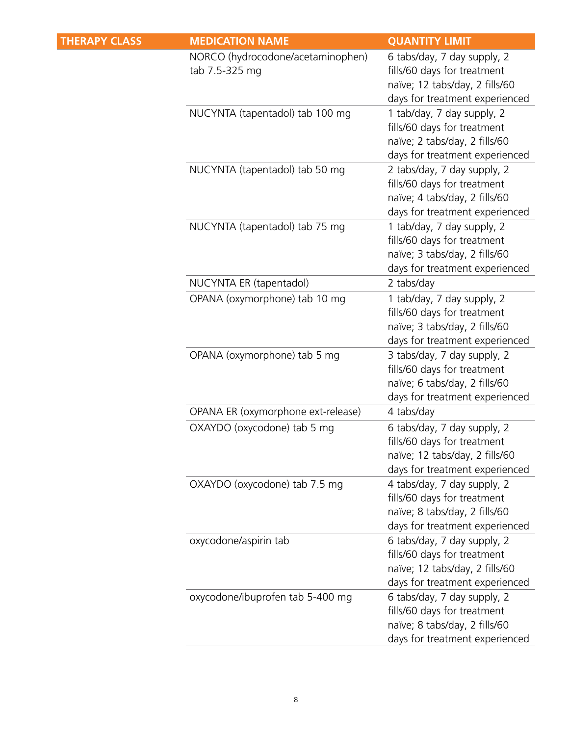| <b>MEDICATION NAME</b>                              | <b>QUANTITY LIMIT</b>                                                                                                          |
|-----------------------------------------------------|--------------------------------------------------------------------------------------------------------------------------------|
| NORCO (hydrocodone/acetaminophen)<br>tab 7.5-325 mg | 6 tabs/day, 7 day supply, 2<br>fills/60 days for treatment<br>naïve; 12 tabs/day, 2 fills/60<br>days for treatment experienced |
| NUCYNTA (tapentadol) tab 100 mg                     | 1 tab/day, 7 day supply, 2<br>fills/60 days for treatment<br>naïve; 2 tabs/day, 2 fills/60<br>days for treatment experienced   |
| NUCYNTA (tapentadol) tab 50 mg                      | 2 tabs/day, 7 day supply, 2<br>fills/60 days for treatment<br>naïve; 4 tabs/day, 2 fills/60<br>days for treatment experienced  |
| NUCYNTA (tapentadol) tab 75 mg                      | 1 tab/day, 7 day supply, 2<br>fills/60 days for treatment<br>naïve; 3 tabs/day, 2 fills/60<br>days for treatment experienced   |
| NUCYNTA ER (tapentadol)                             | 2 tabs/day                                                                                                                     |
| OPANA (oxymorphone) tab 10 mg                       | 1 tab/day, 7 day supply, 2<br>fills/60 days for treatment<br>naïve; 3 tabs/day, 2 fills/60<br>days for treatment experienced   |
| OPANA (oxymorphone) tab 5 mg                        | 3 tabs/day, 7 day supply, 2<br>fills/60 days for treatment<br>naïve; 6 tabs/day, 2 fills/60<br>days for treatment experienced  |
| OPANA ER (oxymorphone ext-release)                  | 4 tabs/day                                                                                                                     |
| OXAYDO (oxycodone) tab 5 mg                         | 6 tabs/day, 7 day supply, 2<br>fills/60 days for treatment<br>naïve; 12 tabs/day, 2 fills/60<br>days for treatment experienced |
|                                                     | 4 tabs/day, 7 day supply, 2<br>fills/60 days for treatment<br>naïve; 8 tabs/day, 2 fills/60<br>days for treatment experienced  |
| oxycodone/aspirin tab                               | 6 tabs/day, 7 day supply, 2<br>fills/60 days for treatment<br>naïve; 12 tabs/day, 2 fills/60<br>days for treatment experienced |
| oxycodone/ibuprofen tab 5-400 mg                    | 6 tabs/day, 7 day supply, 2<br>fills/60 days for treatment<br>naïve; 8 tabs/day, 2 fills/60<br>days for treatment experienced  |
|                                                     | OXAYDO (oxycodone) tab 7.5 mg                                                                                                  |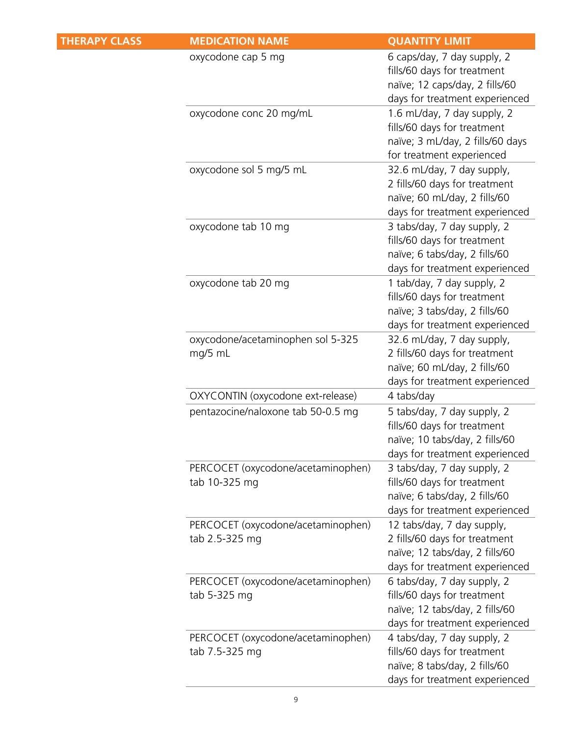| <b>THERAPY CLASS</b> | <b>MEDICATION NAME</b>                               | <b>QUANTITY LIMIT</b>                                                                                                           |
|----------------------|------------------------------------------------------|---------------------------------------------------------------------------------------------------------------------------------|
|                      | oxycodone cap 5 mg                                   | 6 caps/day, 7 day supply, 2<br>fills/60 days for treatment<br>naïve; 12 caps/day, 2 fills/60<br>days for treatment experienced  |
|                      | oxycodone conc 20 mg/mL                              | 1.6 mL/day, 7 day supply, 2<br>fills/60 days for treatment<br>naïve; 3 mL/day, 2 fills/60 days<br>for treatment experienced     |
|                      | oxycodone sol 5 mg/5 mL                              | 32.6 mL/day, 7 day supply,<br>2 fills/60 days for treatment<br>naïve; 60 mL/day, 2 fills/60<br>days for treatment experienced   |
|                      | oxycodone tab 10 mg                                  | 3 tabs/day, 7 day supply, 2<br>fills/60 days for treatment<br>naïve; 6 tabs/day, 2 fills/60<br>days for treatment experienced   |
|                      | oxycodone tab 20 mg                                  | 1 tab/day, 7 day supply, 2<br>fills/60 days for treatment<br>naïve; 3 tabs/day, 2 fills/60<br>days for treatment experienced    |
|                      | oxycodone/acetaminophen sol 5-325<br>mg/5 mL         | 32.6 mL/day, 7 day supply,<br>2 fills/60 days for treatment<br>naïve; 60 mL/day, 2 fills/60<br>days for treatment experienced   |
|                      | OXYCONTIN (oxycodone ext-release)                    | 4 tabs/day                                                                                                                      |
|                      | pentazocine/naloxone tab 50-0.5 mg                   | 5 tabs/day, 7 day supply, 2<br>fills/60 days for treatment<br>naïve; 10 tabs/day, 2 fills/60<br>days for treatment experienced  |
|                      | PERCOCET (oxycodone/acetaminophen)<br>tab 10-325 mg  | 3 tabs/day, 7 day supply, 2<br>fills/60 days for treatment<br>naïve; 6 tabs/day, 2 fills/60<br>days for treatment experienced   |
|                      | PERCOCET (oxycodone/acetaminophen)<br>tab 2.5-325 mg | 12 tabs/day, 7 day supply,<br>2 fills/60 days for treatment<br>naïve; 12 tabs/day, 2 fills/60<br>days for treatment experienced |
|                      | PERCOCET (oxycodone/acetaminophen)<br>tab 5-325 mg   | 6 tabs/day, 7 day supply, 2<br>fills/60 days for treatment<br>naïve; 12 tabs/day, 2 fills/60<br>days for treatment experienced  |
|                      | PERCOCET (oxycodone/acetaminophen)<br>tab 7.5-325 mg | 4 tabs/day, 7 day supply, 2<br>fills/60 days for treatment<br>naïve; 8 tabs/day, 2 fills/60<br>days for treatment experienced   |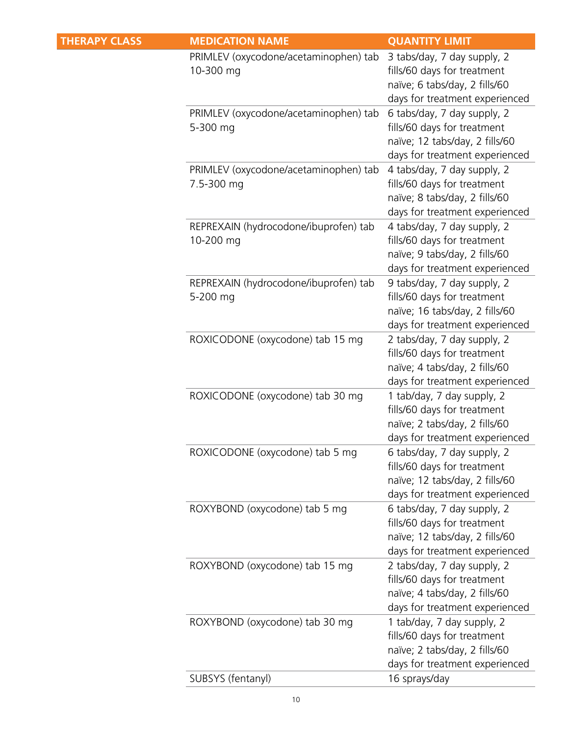| <b>THERAPY CLASS</b> | <b>MEDICATION NAME</b>                              | <b>QUANTITY LIMIT</b>                                                                                                          |
|----------------------|-----------------------------------------------------|--------------------------------------------------------------------------------------------------------------------------------|
|                      | PRIMLEV (oxycodone/acetaminophen) tab<br>10-300 mg  | 3 tabs/day, 7 day supply, 2<br>fills/60 days for treatment<br>naïve; 6 tabs/day, 2 fills/60<br>days for treatment experienced  |
|                      | PRIMLEV (oxycodone/acetaminophen) tab<br>5-300 mg   | 6 tabs/day, 7 day supply, 2<br>fills/60 days for treatment<br>naïve; 12 tabs/day, 2 fills/60<br>days for treatment experienced |
|                      | PRIMLEV (oxycodone/acetaminophen) tab<br>7.5-300 mg | 4 tabs/day, 7 day supply, 2<br>fills/60 days for treatment<br>naïve; 8 tabs/day, 2 fills/60<br>days for treatment experienced  |
|                      | REPREXAIN (hydrocodone/ibuprofen) tab<br>10-200 mg  | 4 tabs/day, 7 day supply, 2<br>fills/60 days for treatment<br>naïve; 9 tabs/day, 2 fills/60<br>days for treatment experienced  |
|                      | REPREXAIN (hydrocodone/ibuprofen) tab<br>5-200 mg   | 9 tabs/day, 7 day supply, 2<br>fills/60 days for treatment<br>naïve; 16 tabs/day, 2 fills/60<br>days for treatment experienced |
|                      | ROXICODONE (oxycodone) tab 15 mg                    | 2 tabs/day, 7 day supply, 2<br>fills/60 days for treatment<br>naïve; 4 tabs/day, 2 fills/60<br>days for treatment experienced  |
|                      | ROXICODONE (oxycodone) tab 30 mg                    | 1 tab/day, 7 day supply, 2<br>fills/60 days for treatment<br>naïve; 2 tabs/day, 2 fills/60<br>days for treatment experienced   |
|                      | ROXICODONE (oxycodone) tab 5 mg                     | 6 tabs/day, 7 day supply, 2<br>fills/60 days for treatment<br>naïve; 12 tabs/day, 2 fills/60<br>days for treatment experienced |
|                      | ROXYBOND (oxycodone) tab 5 mg                       | 6 tabs/day, 7 day supply, 2<br>fills/60 days for treatment<br>naïve; 12 tabs/day, 2 fills/60<br>days for treatment experienced |
|                      | ROXYBOND (oxycodone) tab 15 mg                      | 2 tabs/day, 7 day supply, 2<br>fills/60 days for treatment<br>naïve; 4 tabs/day, 2 fills/60<br>days for treatment experienced  |
|                      | ROXYBOND (oxycodone) tab 30 mg                      | 1 tab/day, 7 day supply, 2<br>fills/60 days for treatment<br>naïve; 2 tabs/day, 2 fills/60<br>days for treatment experienced   |
|                      | SUBSYS (fentanyl)                                   | 16 sprays/day                                                                                                                  |
|                      |                                                     |                                                                                                                                |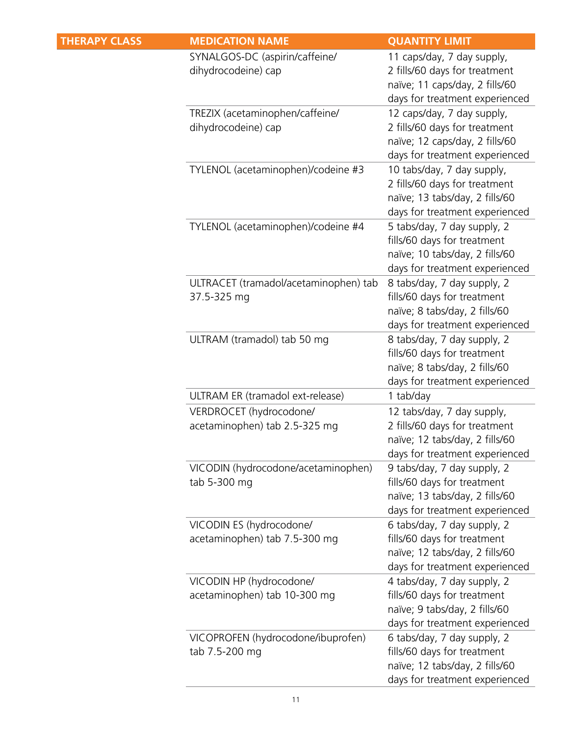| <b>THERAPY CLASS</b> | <b>MEDICATION NAME</b>                                    | <b>QUANTITY LIMIT</b>                                                                                                           |
|----------------------|-----------------------------------------------------------|---------------------------------------------------------------------------------------------------------------------------------|
|                      | SYNALGOS-DC (aspirin/caffeine/<br>dihydrocodeine) cap     | 11 caps/day, 7 day supply,<br>2 fills/60 days for treatment<br>naïve; 11 caps/day, 2 fills/60<br>days for treatment experienced |
|                      | TREZIX (acetaminophen/caffeine/<br>dihydrocodeine) cap    | 12 caps/day, 7 day supply,<br>2 fills/60 days for treatment<br>naïve; 12 caps/day, 2 fills/60<br>days for treatment experienced |
|                      | TYLENOL (acetaminophen)/codeine #3                        | 10 tabs/day, 7 day supply,<br>2 fills/60 days for treatment<br>naïve; 13 tabs/day, 2 fills/60<br>days for treatment experienced |
|                      | TYLENOL (acetaminophen)/codeine #4                        | 5 tabs/day, 7 day supply, 2<br>fills/60 days for treatment<br>naïve; 10 tabs/day, 2 fills/60<br>days for treatment experienced  |
|                      | ULTRACET (tramadol/acetaminophen) tab<br>37.5-325 mg      | 8 tabs/day, 7 day supply, 2<br>fills/60 days for treatment<br>naïve; 8 tabs/day, 2 fills/60<br>days for treatment experienced   |
|                      | ULTRAM (tramadol) tab 50 mg                               | 8 tabs/day, 7 day supply, 2<br>fills/60 days for treatment<br>naïve; 8 tabs/day, 2 fills/60<br>days for treatment experienced   |
|                      | ULTRAM ER (tramadol ext-release)                          | 1 tab/day                                                                                                                       |
|                      | VERDROCET (hydrocodone/<br>acetaminophen) tab 2.5-325 mg  | 12 tabs/day, 7 day supply,<br>2 fills/60 days for treatment<br>naïve; 12 tabs/day, 2 fills/60<br>days for treatment experienced |
|                      | VICODIN (hydrocodone/acetaminophen)<br>tab 5-300 mg       | 9 tabs/day, 7 day supply, 2<br>fills/60 days for treatment<br>naïve; 13 tabs/day, 2 fills/60<br>days for treatment experienced  |
|                      | VICODIN ES (hydrocodone/<br>acetaminophen) tab 7.5-300 mg | 6 tabs/day, 7 day supply, 2<br>fills/60 days for treatment<br>naïve; 12 tabs/day, 2 fills/60<br>days for treatment experienced  |
|                      | VICODIN HP (hydrocodone/<br>acetaminophen) tab 10-300 mg  | 4 tabs/day, 7 day supply, 2<br>fills/60 days for treatment<br>naïve; 9 tabs/day, 2 fills/60<br>days for treatment experienced   |
|                      | VICOPROFEN (hydrocodone/ibuprofen)<br>tab 7.5-200 mg      | 6 tabs/day, 7 day supply, 2<br>fills/60 days for treatment<br>naïve; 12 tabs/day, 2 fills/60<br>days for treatment experienced  |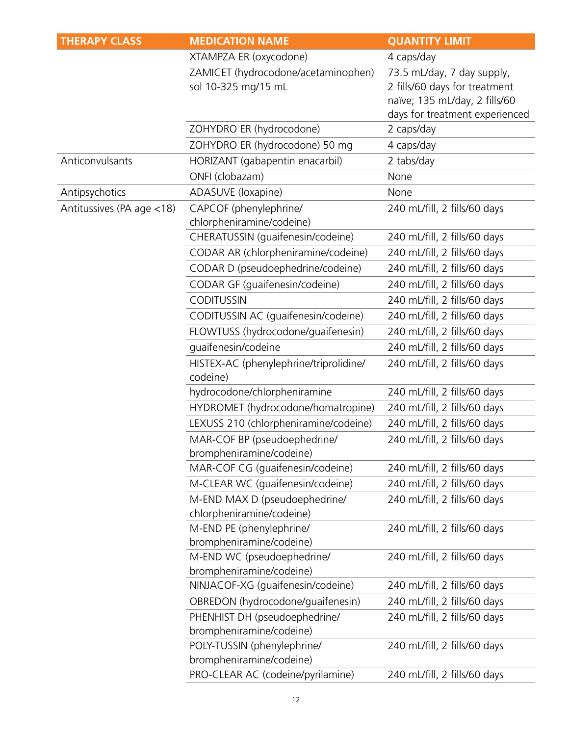| <b>THERAPY CLASS</b>      | <b>MEDICATION NAME</b>                                     | <b>QUANTITY LIMIT</b>          |
|---------------------------|------------------------------------------------------------|--------------------------------|
|                           | XTAMPZA ER (oxycodone)                                     | 4 caps/day                     |
|                           | ZAMICET (hydrocodone/acetaminophen)                        | 73.5 mL/day, 7 day supply,     |
|                           | sol 10-325 mg/15 mL                                        | 2 fills/60 days for treatment  |
|                           |                                                            | naïve; 135 mL/day, 2 fills/60  |
|                           |                                                            | days for treatment experienced |
|                           | ZOHYDRO ER (hydrocodone)                                   | 2 caps/day                     |
|                           | ZOHYDRO ER (hydrocodone) 50 mg                             | 4 caps/day                     |
| Anticonvulsants           | HORIZANT (gabapentin enacarbil)                            | 2 tabs/day                     |
|                           | ONFI (clobazam)                                            | None                           |
| Antipsychotics            | ADASUVE (loxapine)                                         | None                           |
| Antitussives (PA age <18) | CAPCOF (phenylephrine/                                     | 240 mL/fill, 2 fills/60 days   |
|                           | chlorpheniramine/codeine)                                  |                                |
|                           | CHERATUSSIN (guaifenesin/codeine)                          | 240 mL/fill, 2 fills/60 days   |
|                           | CODAR AR (chlorpheniramine/codeine)                        | 240 mL/fill, 2 fills/60 days   |
|                           | CODAR D (pseudoephedrine/codeine)                          | 240 mL/fill, 2 fills/60 days   |
|                           | CODAR GF (guaifenesin/codeine)                             | 240 mL/fill, 2 fills/60 days   |
|                           | <b>CODITUSSIN</b>                                          | 240 mL/fill, 2 fills/60 days   |
|                           | CODITUSSIN AC (guaifenesin/codeine)                        | 240 mL/fill, 2 fills/60 days   |
|                           | FLOWTUSS (hydrocodone/guaifenesin)                         | 240 mL/fill, 2 fills/60 days   |
|                           | guaifenesin/codeine                                        | 240 mL/fill, 2 fills/60 days   |
|                           | HISTEX-AC (phenylephrine/triprolidine/                     | 240 mL/fill, 2 fills/60 days   |
|                           | codeine)                                                   |                                |
|                           | hydrocodone/chlorpheniramine                               | 240 mL/fill, 2 fills/60 days   |
|                           | HYDROMET (hydrocodone/homatropine)                         | 240 mL/fill, 2 fills/60 days   |
|                           | LEXUSS 210 (chlorpheniramine/codeine)                      | 240 mL/fill, 2 fills/60 days   |
|                           | MAR-COF BP (pseudoephedrine/                               | 240 mL/fill, 2 fills/60 days   |
|                           | brompheniramine/codeine)                                   |                                |
|                           | MAR-COF CG (guaifenesin/codeine)                           | 240 mL/fill, 2 fills/60 days   |
|                           | M-CLEAR WC (quaifenesin/codeine)                           | 240 mL/fill, 2 fills/60 days   |
|                           | M-END MAX D (pseudoephedrine/<br>chlorpheniramine/codeine) | 240 mL/fill, 2 fills/60 days   |
|                           | M-END PE (phenylephrine/                                   | 240 mL/fill, 2 fills/60 days   |
|                           | brompheniramine/codeine)                                   |                                |
|                           | M-END WC (pseudoephedrine/                                 | 240 mL/fill, 2 fills/60 days   |
|                           | brompheniramine/codeine)                                   |                                |
|                           | NINJACOF-XG (guaifenesin/codeine)                          | 240 mL/fill, 2 fills/60 days   |
|                           | OBREDON (hydrocodone/guaifenesin)                          | 240 mL/fill, 2 fills/60 days   |
|                           | PHENHIST DH (pseudoephedrine/                              | 240 mL/fill, 2 fills/60 days   |
|                           | brompheniramine/codeine)                                   |                                |
|                           | POLY-TUSSIN (phenylephrine/                                | 240 mL/fill, 2 fills/60 days   |
|                           | brompheniramine/codeine)                                   |                                |
|                           | PRO-CLEAR AC (codeine/pyrilamine)                          | 240 mL/fill, 2 fills/60 days   |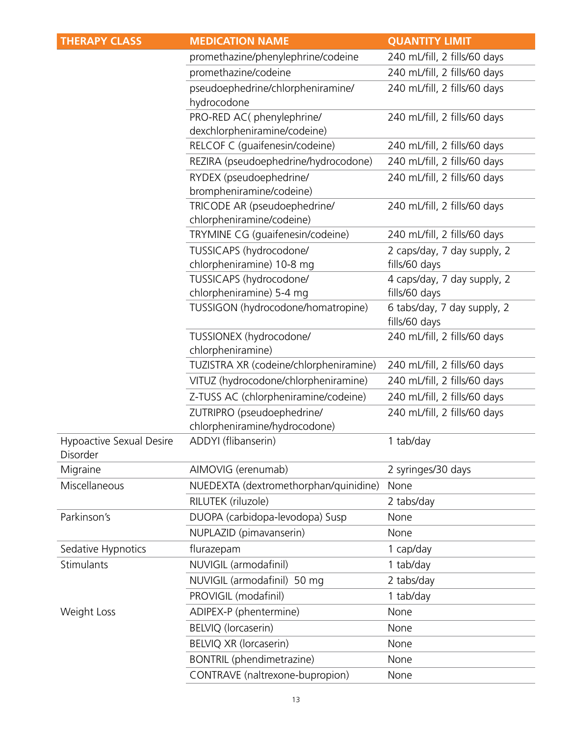| <b>THERAPY CLASS</b>                 | <b>MEDICATION NAME</b>                                    | <b>QUANTITY LIMIT</b>                        |
|--------------------------------------|-----------------------------------------------------------|----------------------------------------------|
|                                      | promethazine/phenylephrine/codeine                        | 240 mL/fill, 2 fills/60 days                 |
|                                      | promethazine/codeine                                      | 240 mL/fill, 2 fills/60 days                 |
|                                      | pseudoephedrine/chlorpheniramine/<br>hydrocodone          | 240 mL/fill, 2 fills/60 days                 |
|                                      | PRO-RED AC(phenylephrine/<br>dexchlorpheniramine/codeine) | 240 mL/fill, 2 fills/60 days                 |
|                                      | RELCOF C (quaifenesin/codeine)                            | 240 mL/fill, 2 fills/60 days                 |
|                                      | REZIRA (pseudoephedrine/hydrocodone)                      | 240 mL/fill, 2 fills/60 days                 |
|                                      | RYDEX (pseudoephedrine/<br>brompheniramine/codeine)       | 240 mL/fill, 2 fills/60 days                 |
|                                      | TRICODE AR (pseudoephedrine/<br>chlorpheniramine/codeine) | 240 mL/fill, 2 fills/60 days                 |
|                                      | TRYMINE CG (guaifenesin/codeine)                          | 240 mL/fill, 2 fills/60 days                 |
|                                      | TUSSICAPS (hydrocodone/<br>chlorpheniramine) 10-8 mg      | 2 caps/day, 7 day supply, 2<br>fills/60 days |
|                                      | TUSSICAPS (hydrocodone/<br>chlorpheniramine) 5-4 mg       | 4 caps/day, 7 day supply, 2<br>fills/60 days |
|                                      | TUSSIGON (hydrocodone/homatropine)                        | 6 tabs/day, 7 day supply, 2<br>fills/60 days |
|                                      | TUSSIONEX (hydrocodone/<br>chlorpheniramine)              | 240 mL/fill, 2 fills/60 days                 |
|                                      | TUZISTRA XR (codeine/chlorpheniramine)                    | 240 mL/fill, 2 fills/60 days                 |
|                                      | VITUZ (hydrocodone/chlorpheniramine)                      | 240 mL/fill, 2 fills/60 days                 |
|                                      | Z-TUSS AC (chlorpheniramine/codeine)                      | 240 mL/fill, 2 fills/60 days                 |
|                                      | ZUTRIPRO (pseudoephedrine/                                | 240 mL/fill, 2 fills/60 days                 |
|                                      | chlorpheniramine/hydrocodone)                             |                                              |
| Hypoactive Sexual Desire<br>Disorder | ADDYI (flibanserin)                                       | 1 tab/day                                    |
| Migraine                             | AIMOVIG (erenumab)                                        | 2 syringes/30 days                           |
| Miscellaneous                        | NUEDEXTA (dextromethorphan/quinidine)                     | None                                         |
|                                      | RILUTEK (riluzole)                                        | 2 tabs/day                                   |
| Parkinson's                          | DUOPA (carbidopa-levodopa) Susp                           | None                                         |
|                                      | NUPLAZID (pimavanserin)                                   | None                                         |
| Sedative Hypnotics                   | flurazepam                                                | 1 cap/day                                    |
| Stimulants                           | NUVIGIL (armodafinil)                                     | 1 tab/day                                    |
|                                      | NUVIGIL (armodafinil) 50 mg                               | 2 tabs/day                                   |
|                                      | PROVIGIL (modafinil)                                      | 1 tab/day                                    |
| Weight Loss                          | ADIPEX-P (phentermine)                                    | None                                         |
|                                      | BELVIQ (lorcaserin)                                       | None                                         |
|                                      | BELVIQ XR (lorcaserin)                                    | None                                         |
|                                      | BONTRIL (phendimetrazine)                                 | None                                         |
|                                      | CONTRAVE (naltrexone-bupropion)                           | None                                         |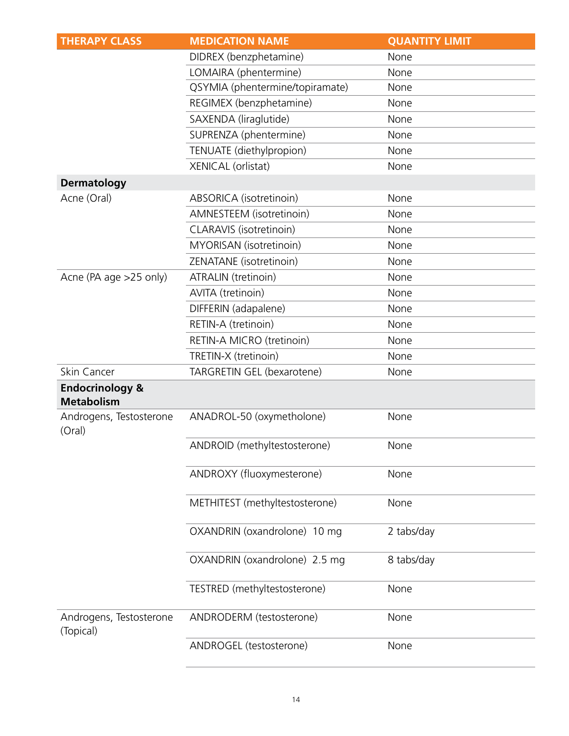| <b>THERAPY CLASS</b>                            | <b>MEDICATION NAME</b>          | <b>QUANTITY LIMIT</b> |
|-------------------------------------------------|---------------------------------|-----------------------|
|                                                 | DIDREX (benzphetamine)          | None                  |
|                                                 | LOMAIRA (phentermine)           | None                  |
|                                                 | QSYMIA (phentermine/topiramate) | None                  |
|                                                 | REGIMEX (benzphetamine)         | None                  |
|                                                 | SAXENDA (liraglutide)           | None                  |
|                                                 | SUPRENZA (phentermine)          | None                  |
|                                                 | TENUATE (diethylpropion)        | None                  |
|                                                 | XENICAL (orlistat)              | None                  |
| <b>Dermatology</b>                              |                                 |                       |
| Acne (Oral)                                     | ABSORICA (isotretinoin)         | None                  |
|                                                 | AMNESTEEM (isotretinoin)        | None                  |
|                                                 | CLARAVIS (isotretinoin)         | None                  |
|                                                 | MYORISAN (isotretinoin)         | None                  |
|                                                 | ZENATANE (isotretinoin)         | None                  |
| Acne (PA age >25 only)                          | ATRALIN (tretinoin)             | None                  |
|                                                 | AVITA (tretinoin)               | None                  |
|                                                 | DIFFERIN (adapalene)            | None                  |
|                                                 | RETIN-A (tretinoin)             | None                  |
|                                                 | RETIN-A MICRO (tretinoin)       | None                  |
|                                                 | TRETIN-X (tretinoin)            | None                  |
| Skin Cancer                                     | TARGRETIN GEL (bexarotene)      | None                  |
| <b>Endocrinology &amp;</b><br><b>Metabolism</b> |                                 |                       |
| Androgens, Testosterone<br>(Oral)               | ANADROL-50 (oxymetholone)       | None                  |
|                                                 | ANDROID (methyltestosterone)    | None                  |
|                                                 | ANDROXY (fluoxymesterone)       | None                  |
|                                                 | METHITEST (methyltestosterone)  | None                  |
|                                                 | OXANDRIN (oxandrolone) 10 mg    | 2 tabs/day            |
|                                                 | OXANDRIN (oxandrolone) 2.5 mg   | 8 tabs/day            |
|                                                 | TESTRED (methyltestosterone)    | None                  |
| Androgens, Testosterone<br>(Topical)            | ANDRODERM (testosterone)        | None                  |
|                                                 | ANDROGEL (testosterone)         | None                  |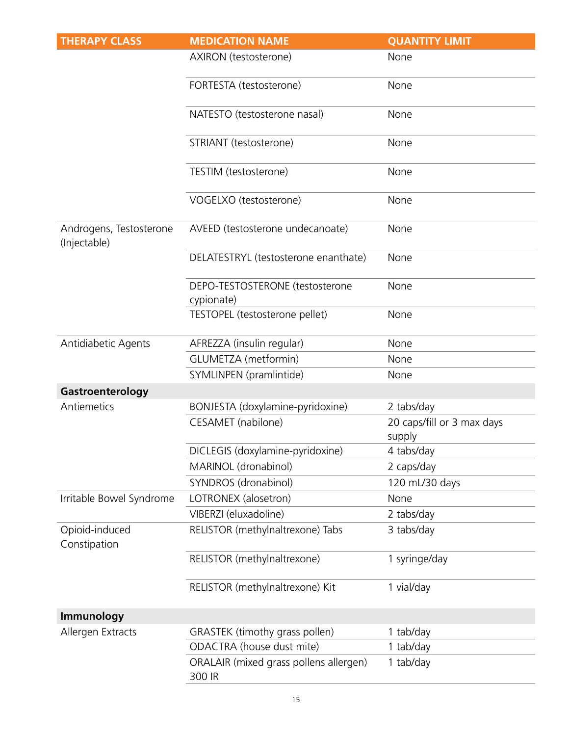| <b>THERAPY CLASS</b>                    | <b>MEDICATION NAME</b>                           | <b>QUANTITY LIMIT</b>                |
|-----------------------------------------|--------------------------------------------------|--------------------------------------|
|                                         | AXIRON (testosterone)                            | None                                 |
|                                         | FORTESTA (testosterone)                          | None                                 |
|                                         | NATESTO (testosterone nasal)                     | None                                 |
|                                         | STRIANT (testosterone)                           | None                                 |
|                                         | TESTIM (testosterone)                            | None                                 |
|                                         | VOGELXO (testosterone)                           | None                                 |
| Androgens, Testosterone<br>(Injectable) | AVEED (testosterone undecanoate)                 | None                                 |
|                                         | DELATESTRYL (testosterone enanthate)             | None                                 |
|                                         | DEPO-TESTOSTERONE (testosterone<br>cypionate)    | None                                 |
|                                         | TESTOPEL (testosterone pellet)                   | None                                 |
| Antidiabetic Agents                     | AFREZZA (insulin regular)                        | None                                 |
|                                         | GLUMETZA (metformin)                             | None                                 |
|                                         | SYMLINPEN (pramlintide)                          | None                                 |
| Gastroenterology                        |                                                  |                                      |
| Antiemetics                             | BONJESTA (doxylamine-pyridoxine)                 | 2 tabs/day                           |
|                                         | <b>CESAMET</b> (nabilone)                        | 20 caps/fill or 3 max days<br>supply |
|                                         | DICLEGIS (doxylamine-pyridoxine)                 | 4 tabs/day                           |
|                                         | MARINOL (dronabinol)                             | 2 caps/day                           |
|                                         | SYNDROS (dronabinol)                             | 120 mL/30 days                       |
| Irritable Bowel Syndrome                | LOTRONEX (alosetron)                             | None                                 |
|                                         | VIBERZI (eluxadoline)                            | 2 tabs/day                           |
| Opioid-induced<br>Constipation          | RELISTOR (methylnaltrexone) Tabs                 | 3 tabs/day                           |
|                                         | RELISTOR (methylnaltrexone)                      | 1 syringe/day                        |
|                                         | RELISTOR (methylnaltrexone) Kit                  | 1 vial/day                           |
| Immunology                              |                                                  |                                      |
| Allergen Extracts                       | GRASTEK (timothy grass pollen)                   | 1 tab/day                            |
|                                         | ODACTRA (house dust mite)                        | 1 tab/day                            |
|                                         | ORALAIR (mixed grass pollens allergen)<br>300 IR | 1 tab/day                            |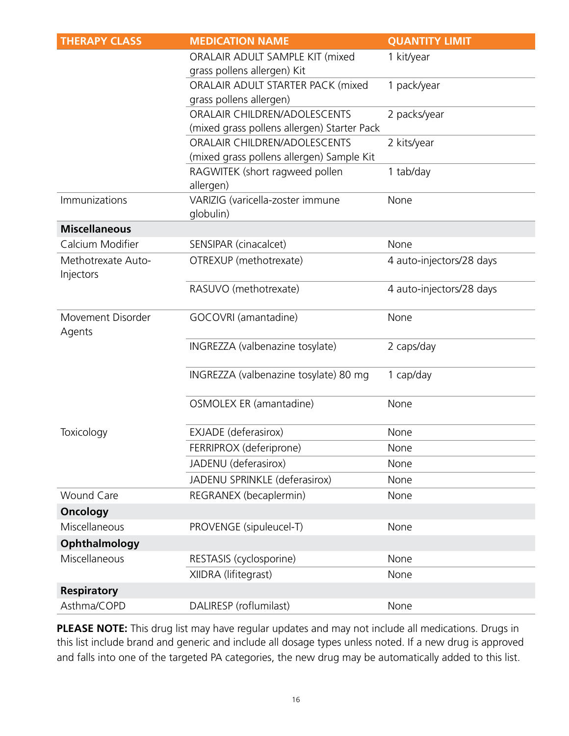| <b>THERAPY CLASS</b>            | <b>MEDICATION NAME</b>                        | <b>QUANTITY LIMIT</b>    |
|---------------------------------|-----------------------------------------------|--------------------------|
|                                 | ORALAIR ADULT SAMPLE KIT (mixed               | 1 kit/year               |
|                                 | grass pollens allergen) Kit                   |                          |
|                                 | ORALAIR ADULT STARTER PACK (mixed             | 1 pack/year              |
|                                 | grass pollens allergen)                       |                          |
|                                 | ORALAIR CHILDREN/ADOLESCENTS                  | 2 packs/year             |
|                                 | (mixed grass pollens allergen) Starter Pack   |                          |
|                                 | ORALAIR CHILDREN/ADOLESCENTS                  | 2 kits/year              |
|                                 | (mixed grass pollens allergen) Sample Kit     |                          |
|                                 | RAGWITEK (short ragweed pollen<br>allergen)   | 1 tab/day                |
| Immunizations                   | VARIZIG (varicella-zoster immune<br>globulin) | None                     |
| <b>Miscellaneous</b>            |                                               |                          |
| Calcium Modifier                | SENSIPAR (cinacalcet)                         | None                     |
| Methotrexate Auto-<br>Injectors | OTREXUP (methotrexate)                        | 4 auto-injectors/28 days |
|                                 | RASUVO (methotrexate)                         | 4 auto-injectors/28 days |
| Movement Disorder<br>Agents     | GOCOVRI (amantadine)                          | None                     |
|                                 | INGREZZA (valbenazine tosylate)               | 2 caps/day               |
|                                 | INGREZZA (valbenazine tosylate) 80 mg         | 1 cap/day                |
|                                 | OSMOLEX ER (amantadine)                       | None                     |
| Toxicology                      | EXJADE (deferasirox)                          | None                     |
|                                 | FERRIPROX (deferiprone)                       | None                     |
|                                 | JADENU (deferasirox)                          | None                     |
|                                 | JADENU SPRINKLE (deferasirox)                 | None                     |
| <b>Wound Care</b>               | REGRANEX (becaplermin)                        | None                     |
| <b>Oncology</b>                 |                                               |                          |
| Miscellaneous                   | PROVENGE (sipuleucel-T)                       | None                     |
| Ophthalmology                   |                                               |                          |
| Miscellaneous                   | RESTASIS (cyclosporine)                       | None                     |
|                                 | XIIDRA (lifitegrast)                          | None                     |
| <b>Respiratory</b>              |                                               |                          |
| Asthma/COPD                     |                                               |                          |

**PLEASE NOTE:** This drug list may have regular updates and may not include all medications. Drugs in this list include brand and generic and include all dosage types unless noted. If a new drug is approved and falls into one of the targeted PA categories, the new drug may be automatically added to this list.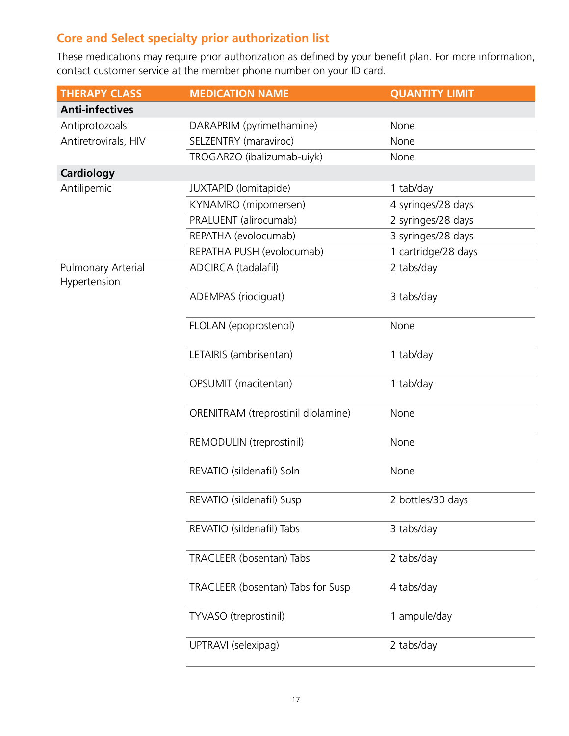# **Core and Select specialty prior authorization list**

These medications may require prior authorization as defined by your benefit plan. For more information, contact customer service at the member phone number on your ID card.

| <b>THERAPY CLASS</b>                      | <b>MEDICATION NAME</b>             | <b>QUANTITY LIMIT</b> |
|-------------------------------------------|------------------------------------|-----------------------|
| <b>Anti-infectives</b>                    |                                    |                       |
| Antiprotozoals                            | DARAPRIM (pyrimethamine)           | None                  |
| Antiretrovirals, HIV                      | SELZENTRY (maraviroc)              | None                  |
|                                           | TROGARZO (ibalizumab-uiyk)         | None                  |
| <b>Cardiology</b>                         |                                    |                       |
| Antilipemic                               | JUXTAPID (lomitapide)              | 1 tab/day             |
|                                           | KYNAMRO (mipomersen)               | 4 syringes/28 days    |
|                                           | PRALUENT (alirocumab)              | 2 syringes/28 days    |
|                                           | REPATHA (evolocumab)               | 3 syringes/28 days    |
|                                           | REPATHA PUSH (evolocumab)          | 1 cartridge/28 days   |
| <b>Pulmonary Arterial</b><br>Hypertension | ADCIRCA (tadalafil)                | 2 tabs/day            |
|                                           | ADEMPAS (riociguat)                | 3 tabs/day            |
|                                           | FLOLAN (epoprostenol)              | None                  |
|                                           | LETAIRIS (ambrisentan)             | 1 tab/day             |
|                                           | OPSUMIT (macitentan)               | 1 tab/day             |
|                                           | ORENITRAM (treprostinil diolamine) | None                  |
|                                           | REMODULIN (treprostinil)           | None                  |
|                                           | REVATIO (sildenafil) Soln          | None                  |
|                                           | REVATIO (sildenafil) Susp          | 2 bottles/30 days     |
|                                           | REVATIO (sildenafil) Tabs          | 3 tabs/day            |
|                                           | TRACLEER (bosentan) Tabs           | 2 tabs/day            |
|                                           | TRACLEER (bosentan) Tabs for Susp  | 4 tabs/day            |
|                                           | TYVASO (treprostinil)              | 1 ampule/day          |
|                                           | UPTRAVI (selexipag)                | 2 tabs/day            |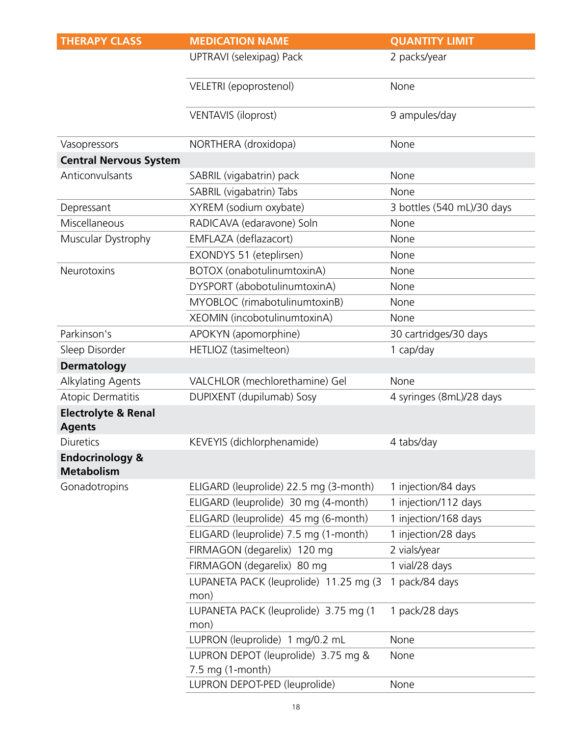| <b>THERAPY CLASS</b>                            | <b>MEDICATION NAME</b>                                  | <b>QUANTITY LIMIT</b>      |
|-------------------------------------------------|---------------------------------------------------------|----------------------------|
|                                                 | UPTRAVI (selexipag) Pack                                | 2 packs/year               |
|                                                 | VELETRI (epoprostenol)                                  | None                       |
|                                                 | <b>VENTAVIS (iloprost)</b>                              | 9 ampules/day              |
| Vasopressors                                    | NORTHERA (droxidopa)                                    | None                       |
| <b>Central Nervous System</b>                   |                                                         |                            |
| Anticonvulsants                                 | SABRIL (vigabatrin) pack                                | None                       |
|                                                 | SABRIL (vigabatrin) Tabs                                | None                       |
| Depressant                                      | XYREM (sodium oxybate)                                  | 3 bottles (540 mL)/30 days |
| Miscellaneous                                   | RADICAVA (edaravone) Soln                               | None                       |
| Muscular Dystrophy                              | EMFLAZA (deflazacort)                                   | None                       |
|                                                 | EXONDYS 51 (eteplirsen)                                 | None                       |
| Neurotoxins                                     | BOTOX (onabotulinumtoxinA)                              | None                       |
|                                                 | DYSPORT (abobotulinumtoxinA)                            | None                       |
|                                                 | MYOBLOC (rimabotulinumtoxinB)                           | None                       |
|                                                 | XEOMIN (incobotulinumtoxinA)                            | None                       |
| Parkinson's                                     | APOKYN (apomorphine)                                    | 30 cartridges/30 days      |
| Sleep Disorder                                  | HETLIOZ (tasimelteon)                                   | 1 cap/day                  |
| <b>Dermatology</b>                              |                                                         |                            |
| Alkylating Agents                               | VALCHLOR (mechlorethamine) Gel                          | None                       |
| <b>Atopic Dermatitis</b>                        | DUPIXENT (dupilumab) Sosy                               | 4 syringes (8mL)/28 days   |
| <b>Electrolyte &amp; Renal</b><br><b>Agents</b> |                                                         |                            |
| <b>Diuretics</b>                                | KEVEYIS (dichlorphenamide)                              | 4 tabs/day                 |
| <b>Endocrinology &amp;</b><br><b>Metabolism</b> |                                                         |                            |
| Gonadotropins                                   | ELIGARD (leuprolide) 22.5 mg (3-month)                  | 1 injection/84 days        |
|                                                 | ELIGARD (leuprolide) 30 mg (4-month)                    | 1 injection/112 days       |
|                                                 | ELIGARD (leuprolide) 45 mg (6-month)                    | 1 injection/168 days       |
|                                                 | ELIGARD (leuprolide) 7.5 mg (1-month)                   | 1 injection/28 days        |
|                                                 | FIRMAGON (degarelix) 120 mg                             | 2 vials/year               |
|                                                 | FIRMAGON (degarelix) 80 mg                              | 1 vial/28 days             |
|                                                 | LUPANETA PACK (leuprolide) 11.25 mg (3<br>mon)          | 1 pack/84 days             |
|                                                 | LUPANETA PACK (leuprolide) 3.75 mg (1<br>mon)           | 1 pack/28 days             |
|                                                 | LUPRON (leuprolide) 1 mg/0.2 mL                         | None                       |
|                                                 | LUPRON DEPOT (leuprolide) 3.75 mg &<br>7.5 mg (1-month) | None                       |
|                                                 | LUPRON DEPOT-PED (leuprolide)                           | None                       |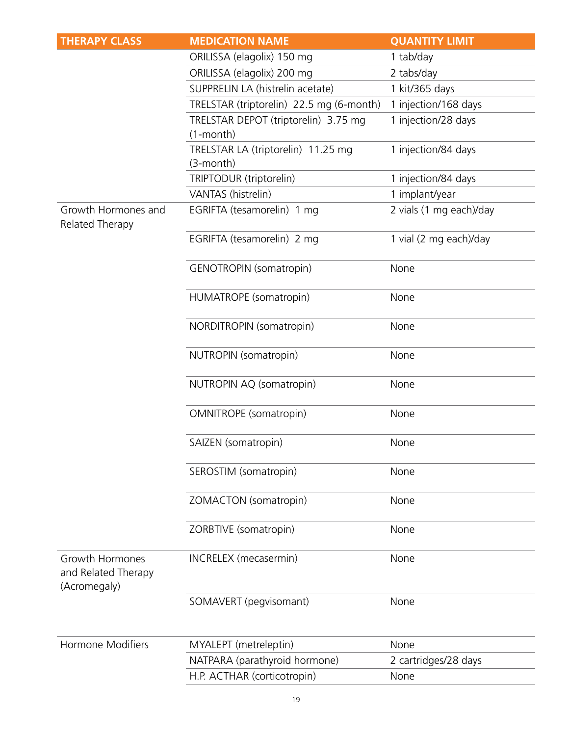| <b>THERAPY CLASS</b>                                   | <b>MEDICATION NAME</b>                                  | <b>QUANTITY LIMIT</b>   |
|--------------------------------------------------------|---------------------------------------------------------|-------------------------|
|                                                        | ORILISSA (elagolix) 150 mg                              | 1 tab/day               |
|                                                        | ORILISSA (elagolix) 200 mg                              | 2 tabs/day              |
|                                                        | SUPPRELIN LA (histrelin acetate)                        | 1 kit/365 days          |
|                                                        | TRELSTAR (triptorelin) 22.5 mg (6-month)                | 1 injection/168 days    |
|                                                        | TRELSTAR DEPOT (triptorelin) 3.75 mg<br>$(1$ -month $)$ | 1 injection/28 days     |
|                                                        | TRELSTAR LA (triptorelin) 11.25 mg<br>$(3$ -month $)$   | 1 injection/84 days     |
|                                                        | TRIPTODUR (triptorelin)                                 | 1 injection/84 days     |
|                                                        | VANTAS (histrelin)                                      | 1 implant/year          |
| Growth Hormones and<br>Related Therapy                 | EGRIFTA (tesamorelin) 1 mg                              | 2 vials (1 mg each)/day |
|                                                        | EGRIFTA (tesamorelin) 2 mg                              | 1 vial (2 mg each)/day  |
|                                                        | GENOTROPIN (somatropin)                                 | None                    |
|                                                        | HUMATROPE (somatropin)                                  | None                    |
|                                                        | NORDITROPIN (somatropin)                                | None                    |
|                                                        | NUTROPIN (somatropin)                                   | None                    |
|                                                        | NUTROPIN AQ (somatropin)                                | None                    |
|                                                        | <b>OMNITROPE</b> (somatropin)                           | None                    |
|                                                        | SAIZEN (somatropin)                                     | None                    |
|                                                        | SEROSTIM (somatropin)                                   | None                    |
|                                                        | ZOMACTON (somatropin)                                   | None                    |
|                                                        | ZORBTIVE (somatropin)                                   | None                    |
| Growth Hormones<br>and Related Therapy<br>(Acromegaly) | <b>INCRELEX</b> (mecasermin)                            | None                    |
|                                                        | SOMAVERT (pegvisomant)                                  | None                    |
| <b>Hormone Modifiers</b>                               | MYALEPT (metreleptin)                                   | None                    |
|                                                        | NATPARA (parathyroid hormone)                           | 2 cartridges/28 days    |
|                                                        | H.P. ACTHAR (corticotropin)                             | None                    |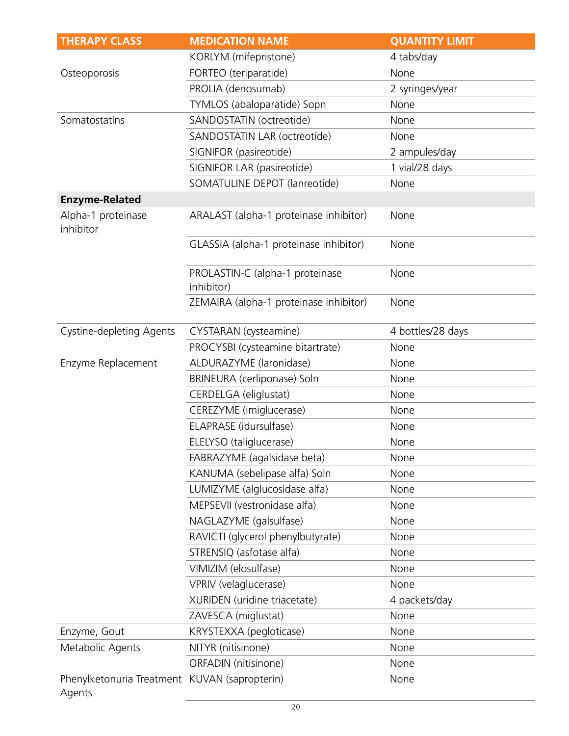| <b>THERAPY CLASS</b>                                    | <b>MEDICATION NAME</b>                        | <b>QUANTITY LIMIT</b> |
|---------------------------------------------------------|-----------------------------------------------|-----------------------|
|                                                         | KORLYM (mifepristone)                         | 4 tabs/day            |
| Osteoporosis                                            | FORTEO (teriparatide)                         | None                  |
|                                                         | PROLIA (denosumab)                            | 2 syringes/year       |
|                                                         | TYMLOS (abaloparatide) Sopn                   | None                  |
| Somatostatins                                           | SANDOSTATIN (octreotide)                      | None                  |
|                                                         | SANDOSTATIN LAR (octreotide)                  | None                  |
|                                                         | SIGNIFOR (pasireotide)                        | 2 ampules/day         |
|                                                         | SIGNIFOR LAR (pasireotide)                    | 1 vial/28 days        |
|                                                         | SOMATULINE DEPOT (lanreotide)                 | None                  |
| <b>Enzyme-Related</b>                                   |                                               |                       |
| Alpha-1 proteinase<br>inhibitor                         | ARALAST (alpha-1 proteinase inhibitor)        | None                  |
|                                                         | GLASSIA (alpha-1 proteinase inhibitor)        | None                  |
|                                                         | PROLASTIN-C (alpha-1 proteinase<br>inhibitor) | None                  |
|                                                         | ZEMAIRA (alpha-1 proteinase inhibitor)        | None                  |
| <b>Cystine-depleting Agents</b>                         | CYSTARAN (cysteamine)                         | 4 bottles/28 days     |
|                                                         | PROCYSBI (cysteamine bitartrate)              | None                  |
| Enzyme Replacement                                      | ALDURAZYME (laronidase)                       | None                  |
|                                                         | BRINEURA (cerliponase) Soln                   | None                  |
|                                                         | CERDELGA (eliglustat)                         | None                  |
|                                                         | CEREZYME (imiglucerase)                       | None                  |
|                                                         | ELAPRASE (idursulfase)                        | None                  |
|                                                         | ELELYSO (taliglucerase)                       | None                  |
|                                                         | FABRAZYME (agalsidase beta)                   | None                  |
|                                                         | KANUMA (sebelipase alfa) Soln                 | None                  |
|                                                         | LUMIZYME (alglucosidase alfa)                 | None                  |
|                                                         | MEPSEVII (vestronidase alfa)                  | None                  |
|                                                         | NAGLAZYME (galsulfase)                        | None                  |
|                                                         | RAVICTI (glycerol phenylbutyrate)             | None                  |
|                                                         | STRENSIQ (asfotase alfa)                      | None                  |
|                                                         | VIMIZIM (elosulfase)                          | None                  |
|                                                         | VPRIV (velaglucerase)                         | None                  |
|                                                         | XURIDEN (uridine triacetate)                  | 4 packets/day         |
|                                                         | ZAVESCA (miglustat)                           | None                  |
| Enzyme, Gout                                            | KRYSTEXXA (pegloticase)                       | None                  |
| Metabolic Agents                                        | NITYR (nitisinone)                            | None                  |
|                                                         | ORFADIN (nitisinone)                          | None                  |
| Phenylketonuria Treatment KUVAN (sapropterin)<br>Agents |                                               | None                  |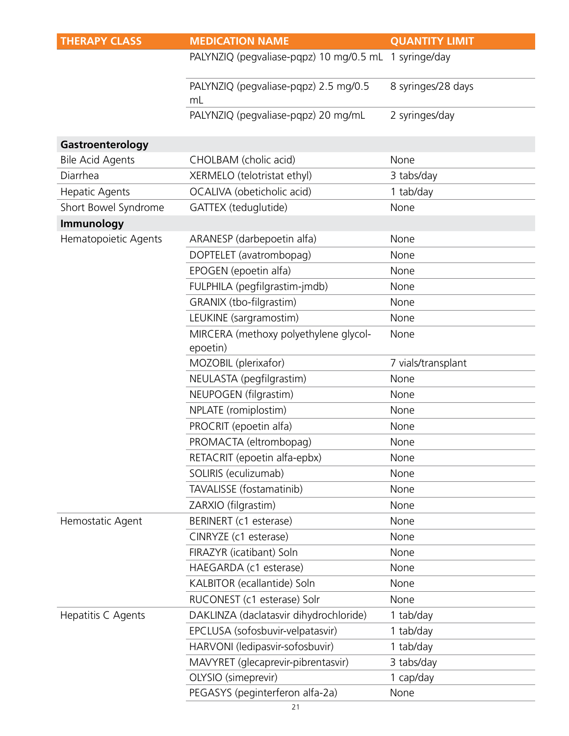| <b>THERAPY CLASS</b>    | <b>MEDICATION NAME</b>                                | <b>QUANTITY LIMIT</b> |
|-------------------------|-------------------------------------------------------|-----------------------|
|                         | PALYNZIQ (pegvaliase-pqpz) 10 mg/0.5 mL 1 syringe/day |                       |
|                         | PALYNZIQ (pegvaliase-pqpz) 2.5 mg/0.5<br>mL           | 8 syringes/28 days    |
|                         | PALYNZIQ (pegvaliase-pqpz) 20 mg/mL                   | 2 syringes/day        |
| Gastroenterology        |                                                       |                       |
| <b>Bile Acid Agents</b> | CHOLBAM (cholic acid)                                 | None                  |
| Diarrhea                | XERMELO (telotristat ethyl)                           | 3 tabs/day            |
| Hepatic Agents          | OCALIVA (obeticholic acid)                            | 1 tab/day             |
| Short Bowel Syndrome    | GATTEX (teduglutide)                                  | None                  |
| Immunology              |                                                       |                       |
| Hematopoietic Agents    | ARANESP (darbepoetin alfa)                            | None                  |
|                         | DOPTELET (avatrombopag)                               | None                  |
|                         | EPOGEN (epoetin alfa)                                 | None                  |
|                         | FULPHILA (pegfilgrastim-jmdb)                         | None                  |
|                         | GRANIX (tbo-filgrastim)                               | None                  |
|                         | LEUKINE (sargramostim)                                | None                  |
|                         | MIRCERA (methoxy polyethylene glycol-                 | None                  |
|                         | epoetin)                                              |                       |
|                         | MOZOBIL (plerixafor)                                  | 7 vials/transplant    |
|                         | NEULASTA (pegfilgrastim)                              | None                  |
|                         | NEUPOGEN (filgrastim)                                 | None                  |
|                         | NPLATE (romiplostim)                                  | None                  |
|                         | PROCRIT (epoetin alfa)                                | None                  |
|                         | PROMACTA (eltrombopag)                                | None                  |
|                         | RETACRIT (epoetin alfa-epbx)                          | None                  |
|                         | SOLIRIS (eculizumab)                                  | None                  |
|                         | TAVALISSE (fostamatinib)                              | None                  |
|                         | ZARXIO (filgrastim)                                   | None                  |
| Hemostatic Agent        | BERINERT (c1 esterase)                                | None                  |
|                         | CINRYZE (c1 esterase)                                 | None                  |
|                         | FIRAZYR (icatibant) Soln                              | None                  |
|                         | HAEGARDA (c1 esterase)                                | None                  |
|                         | KALBITOR (ecallantide) Soln                           | None                  |
|                         | RUCONEST (c1 esterase) Solr                           | None                  |
| Hepatitis C Agents      | DAKLINZA (daclatasvir dihydrochloride)                | 1 tab/day             |
|                         | EPCLUSA (sofosbuvir-velpatasvir)                      | 1 tab/day             |
|                         | HARVONI (ledipasvir-sofosbuvir)                       | 1 tab/day             |
|                         | MAVYRET (glecaprevir-pibrentasvir)                    | 3 tabs/day            |
|                         | OLYSIO (simeprevir)                                   | 1 cap/day             |
|                         | PEGASYS (peginterferon alfa-2a)                       | None                  |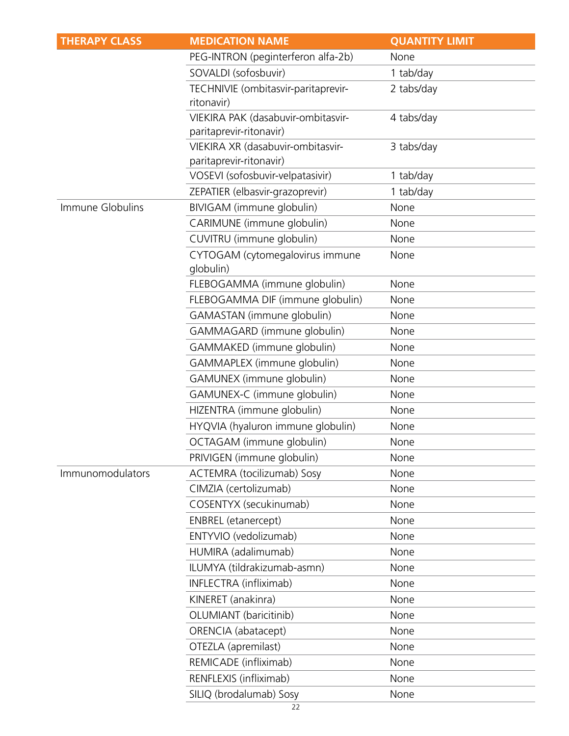| <b>THERAPY CLASS</b> | <b>MEDICATION NAME</b>                                        | <b>QUANTITY LIMIT</b> |
|----------------------|---------------------------------------------------------------|-----------------------|
|                      | PEG-INTRON (peginterferon alfa-2b)                            | None                  |
|                      | SOVALDI (sofosbuvir)                                          | 1 tab/day             |
|                      | TECHNIVIE (ombitasvir-paritaprevir-<br>ritonavir)             | 2 tabs/day            |
|                      | VIEKIRA PAK (dasabuvir-ombitasvir-<br>paritaprevir-ritonavir) | 4 tabs/day            |
|                      | VIEKIRA XR (dasabuvir-ombitasvir-<br>paritaprevir-ritonavir)  | 3 tabs/day            |
|                      | VOSEVI (sofosbuvir-velpatasivir)                              | 1 tab/day             |
|                      | ZEPATIER (elbasvir-grazoprevir)                               | 1 tab/day             |
| Immune Globulins     | BIVIGAM (immune globulin)                                     | None                  |
|                      | CARIMUNE (immune globulin)                                    | None                  |
|                      | CUVITRU (immune globulin)                                     | None                  |
|                      | CYTOGAM (cytomegalovirus immune<br>qlobulin)                  | None                  |
|                      | FLEBOGAMMA (immune globulin)                                  | None                  |
|                      | FLEBOGAMMA DIF (immune globulin)                              | None                  |
|                      | GAMASTAN (immune globulin)                                    | None                  |
|                      | GAMMAGARD (immune globulin)                                   | None                  |
|                      | GAMMAKED (immune globulin)                                    | None                  |
|                      | GAMMAPLEX (immune globulin)                                   | None                  |
|                      | GAMUNEX (immune globulin)                                     | None                  |
|                      | GAMUNEX-C (immune globulin)                                   | None                  |
|                      | HIZENTRA (immune globulin)                                    | None                  |
|                      | HYQVIA (hyaluron immune globulin)                             | None                  |
|                      | OCTAGAM (immune globulin)                                     | None                  |
|                      | PRIVIGEN (immune globulin)                                    | None                  |
| Immunomodulators     | ACTEMRA (tocilizumab) Sosy                                    | None                  |
|                      | CIMZIA (certolizumab)                                         | None                  |
|                      | COSENTYX (secukinumab)                                        | None                  |
|                      | <b>ENBREL</b> (etanercept)                                    | None                  |
|                      | ENTYVIO (vedolizumab)                                         | None                  |
|                      | HUMIRA (adalimumab)                                           | None                  |
|                      | ILUMYA (tildrakizumab-asmn)                                   | None                  |
|                      | INFLECTRA (infliximab)                                        | None                  |
|                      | KINERET (anakinra)                                            | None                  |
|                      | OLUMIANT (baricitinib)                                        | None                  |
|                      | ORENCIA (abatacept)                                           | None                  |
|                      | OTEZLA (apremilast)                                           | None                  |
|                      | REMICADE (infliximab)                                         | None                  |
|                      | RENFLEXIS (infliximab)                                        | None                  |
|                      | SILIQ (brodalumab) Sosy                                       | None                  |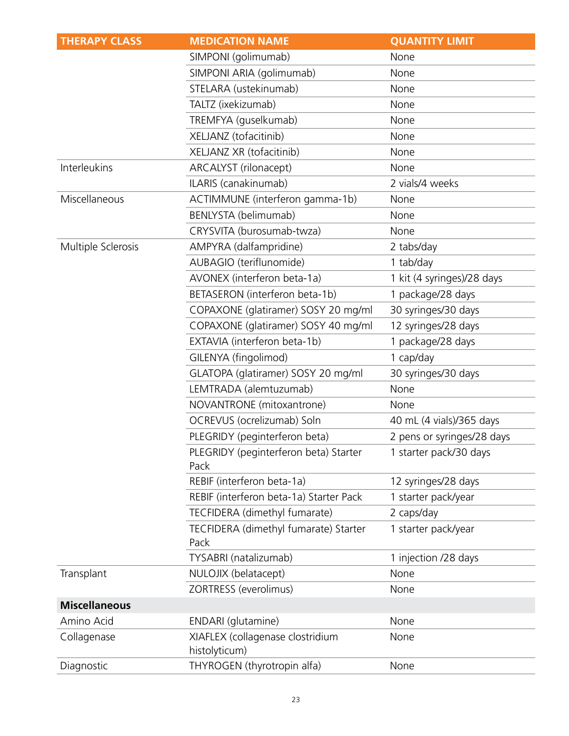| <b>THERAPY CLASS</b> | <b>MEDICATION NAME</b>                            | <b>QUANTITY LIMIT</b>      |
|----------------------|---------------------------------------------------|----------------------------|
|                      | SIMPONI (golimumab)                               | None                       |
|                      | SIMPONI ARIA (golimumab)                          | None                       |
|                      | STELARA (ustekinumab)                             | None                       |
|                      | TALTZ (ixekizumab)                                | None                       |
|                      | TREMFYA (guselkumab)                              | None                       |
|                      | XELJANZ (tofacitinib)                             | None                       |
|                      | XELJANZ XR (tofacitinib)                          | None                       |
| Interleukins         | ARCALYST (rilonacept)                             | None                       |
|                      | ILARIS (canakinumab)                              | 2 vials/4 weeks            |
| Miscellaneous        | ACTIMMUNE (interferon gamma-1b)                   | None                       |
|                      | BENLYSTA (belimumab)                              | None                       |
|                      | CRYSVITA (burosumab-twza)                         | None                       |
| Multiple Sclerosis   | AMPYRA (dalfampridine)                            | 2 tabs/day                 |
|                      | AUBAGIO (teriflunomide)                           | 1 tab/day                  |
|                      | AVONEX (interferon beta-1a)                       | 1 kit (4 syringes)/28 days |
|                      | BETASERON (interferon beta-1b)                    | 1 package/28 days          |
|                      | COPAXONE (glatiramer) SOSY 20 mg/ml               | 30 syringes/30 days        |
|                      | COPAXONE (glatiramer) SOSY 40 mg/ml               | 12 syringes/28 days        |
|                      | EXTAVIA (interferon beta-1b)                      | 1 package/28 days          |
|                      | GILENYA (fingolimod)                              | 1 cap/day                  |
|                      | GLATOPA (glatiramer) SOSY 20 mg/ml                | 30 syringes/30 days        |
|                      | LEMTRADA (alemtuzumab)                            | None                       |
|                      | NOVANTRONE (mitoxantrone)                         | None                       |
|                      | OCREVUS (ocrelizumab) Soln                        | 40 mL (4 vials)/365 days   |
|                      | PLEGRIDY (peginterferon beta)                     | 2 pens or syringes/28 days |
|                      | PLEGRIDY (peginterferon beta) Starter<br>Pack     | 1 starter pack/30 days     |
|                      | REBIF (interferon beta-1a)                        | 12 syringes/28 days        |
|                      | REBIF (interferon beta-1a) Starter Pack           | 1 starter pack/year        |
|                      | TECFIDERA (dimethyl fumarate)                     | 2 caps/day                 |
|                      | TECFIDERA (dimethyl fumarate) Starter<br>Pack     | 1 starter pack/year        |
|                      | TYSABRI (natalizumab)                             | 1 injection /28 days       |
| Transplant           | NULOJIX (belatacept)                              | None                       |
|                      | ZORTRESS (everolimus)                             | None                       |
| <b>Miscellaneous</b> |                                                   |                            |
| Amino Acid           | ENDARI (glutamine)                                | None                       |
| Collagenase          | XIAFLEX (collagenase clostridium<br>histolyticum) | None                       |
| Diagnostic           | THYROGEN (thyrotropin alfa)                       | None                       |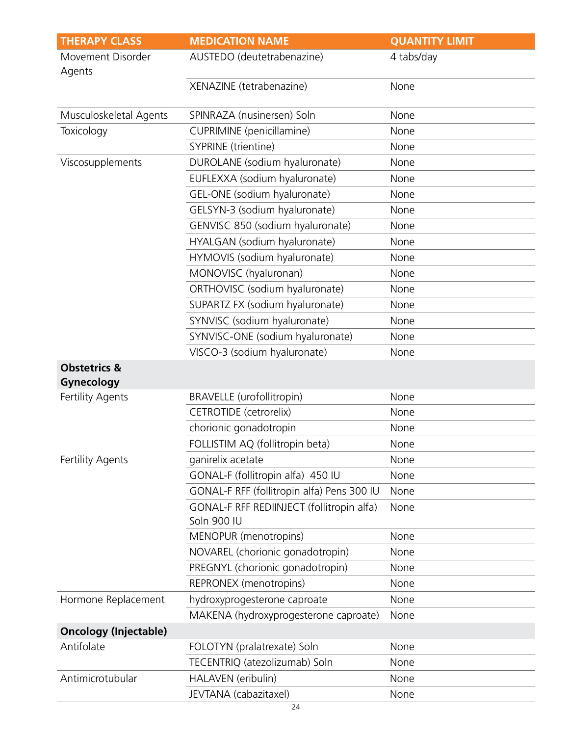| <b>THERAPY CLASS</b>                  | <b>MEDICATION NAME</b>                                   | <b>QUANTITY LIMIT</b> |
|---------------------------------------|----------------------------------------------------------|-----------------------|
| Movement Disorder<br>Agents           | AUSTEDO (deutetrabenazine)                               | 4 tabs/day            |
|                                       | XENAZINE (tetrabenazine)                                 | None                  |
| Musculoskeletal Agents                | SPINRAZA (nusinersen) Soln                               | None                  |
| Toxicology                            | CUPRIMINE (penicillamine)                                | None                  |
|                                       | SYPRINE (trientine)                                      | None                  |
| Viscosupplements                      | DUROLANE (sodium hyaluronate)                            | None                  |
|                                       | EUFLEXXA (sodium hyaluronate)                            | None                  |
|                                       | GEL-ONE (sodium hyaluronate)                             | None                  |
|                                       | GELSYN-3 (sodium hyaluronate)                            | None                  |
|                                       | GENVISC 850 (sodium hyaluronate)                         | None                  |
|                                       | HYALGAN (sodium hyaluronate)                             | None                  |
|                                       | HYMOVIS (sodium hyaluronate)                             | None                  |
|                                       | MONOVISC (hyaluronan)                                    | None                  |
|                                       | ORTHOVISC (sodium hyaluronate)                           | None                  |
|                                       | SUPARTZ FX (sodium hyaluronate)                          | None                  |
|                                       | SYNVISC (sodium hyaluronate)                             | None                  |
|                                       | SYNVISC-ONE (sodium hyaluronate)                         | None                  |
|                                       | VISCO-3 (sodium hyaluronate)                             | None                  |
| <b>Obstetrics &amp;</b><br>Gynecology |                                                          |                       |
| Fertility Agents                      | <b>BRAVELLE</b> (urofollitropin)                         | None                  |
|                                       | CETROTIDE (cetrorelix)                                   | None                  |
|                                       | chorionic gonadotropin                                   | None                  |
|                                       | FOLLISTIM AQ (follitropin beta)                          | None                  |
| <b>Fertility Agents</b>               | ganirelix acetate                                        | None                  |
|                                       | GONAL-F (follitropin alfa) 450 IU                        | None                  |
|                                       | GONAL-F RFF (follitropin alfa) Pens 300 IU               | None                  |
|                                       | GONAL-F RFF REDIINJECT (follitropin alfa)<br>Soln 900 IU | None                  |
|                                       | MENOPUR (menotropins)                                    | None                  |
|                                       | NOVAREL (chorionic gonadotropin)                         | None                  |
|                                       | PREGNYL (chorionic gonadotropin)                         | None                  |
|                                       | REPRONEX (menotropins)                                   | None                  |
| Hormone Replacement                   | hydroxyprogesterone caproate                             | None                  |
|                                       | MAKENA (hydroxyprogesterone caproate)                    | None                  |
| <b>Oncology (Injectable)</b>          |                                                          |                       |
| Antifolate                            | FOLOTYN (pralatrexate) Soln                              | None                  |
|                                       | TECENTRIQ (atezolizumab) Soln                            | None                  |
| Antimicrotubular                      | HALAVEN (eribulin)                                       | None                  |
|                                       | JEVTANA (cabazitaxel)                                    | None                  |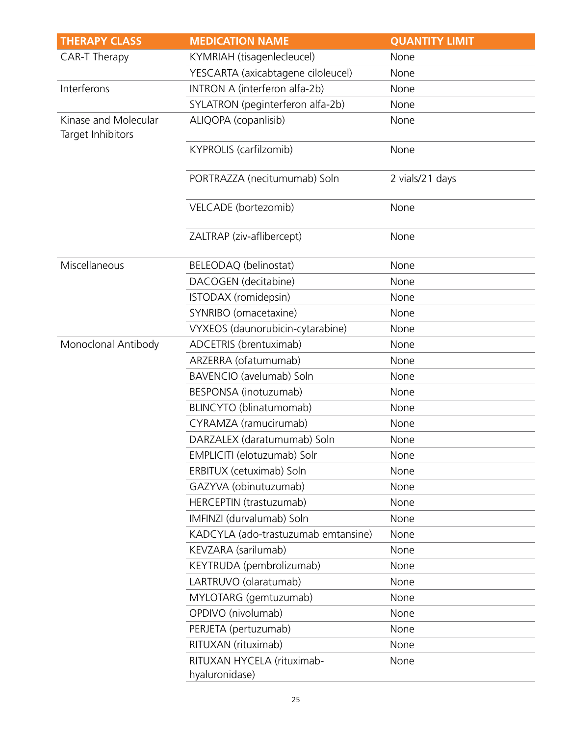| <b>THERAPY CLASS</b>                      | <b>MEDICATION NAME</b>                       | <b>QUANTITY LIMIT</b> |
|-------------------------------------------|----------------------------------------------|-----------------------|
| <b>CAR-T Therapy</b>                      | KYMRIAH (tisagenlecleucel)                   | None                  |
|                                           | YESCARTA (axicabtagene ciloleucel)           | None                  |
| Interferons                               | INTRON A (interferon alfa-2b)                | None                  |
|                                           | SYLATRON (peginterferon alfa-2b)             | None                  |
| Kinase and Molecular<br>Target Inhibitors | ALIQOPA (copanlisib)                         | None                  |
|                                           | KYPROLIS (carfilzomib)                       | None                  |
|                                           | PORTRAZZA (necitumumab) Soln                 | 2 vials/21 days       |
|                                           | VELCADE (bortezomib)                         | None                  |
|                                           | ZALTRAP (ziv-aflibercept)                    | None                  |
| Miscellaneous                             | BELEODAQ (belinostat)                        | None                  |
|                                           | DACOGEN (decitabine)                         | None                  |
|                                           | ISTODAX (romidepsin)                         | None                  |
|                                           | SYNRIBO (omacetaxine)                        | None                  |
|                                           | VYXEOS (daunorubicin-cytarabine)             | None                  |
| Monoclonal Antibody                       | ADCETRIS (brentuximab)                       | None                  |
|                                           | ARZERRA (ofatumumab)                         | None                  |
|                                           | BAVENCIO (avelumab) Soln                     | None                  |
|                                           | BESPONSA (inotuzumab)                        | None                  |
|                                           | BLINCYTO (blinatumomab)                      | None                  |
|                                           | CYRAMZA (ramucirumab)                        | None                  |
|                                           | DARZALEX (daratumumab) Soln                  | None                  |
|                                           | EMPLICITI (elotuzumab) Solr                  | None                  |
|                                           | ERBITUX (cetuximab) Soln                     | None                  |
|                                           | GAZYVA (obinutuzumab)                        | None                  |
|                                           | HERCEPTIN (trastuzumab)                      | None                  |
|                                           | IMFINZI (durvalumab) Soln                    | None                  |
|                                           | KADCYLA (ado-trastuzumab emtansine)          | None                  |
|                                           | KEVZARA (sarilumab)                          | None                  |
|                                           | KEYTRUDA (pembrolizumab)                     | None                  |
|                                           | LARTRUVO (olaratumab)                        | None                  |
|                                           | MYLOTARG (gemtuzumab)                        | None                  |
|                                           | OPDIVO (nivolumab)                           | None                  |
|                                           | PERJETA (pertuzumab)                         | None                  |
|                                           | RITUXAN (rituximab)                          | None                  |
|                                           | RITUXAN HYCELA (rituximab-<br>hyaluronidase) | None                  |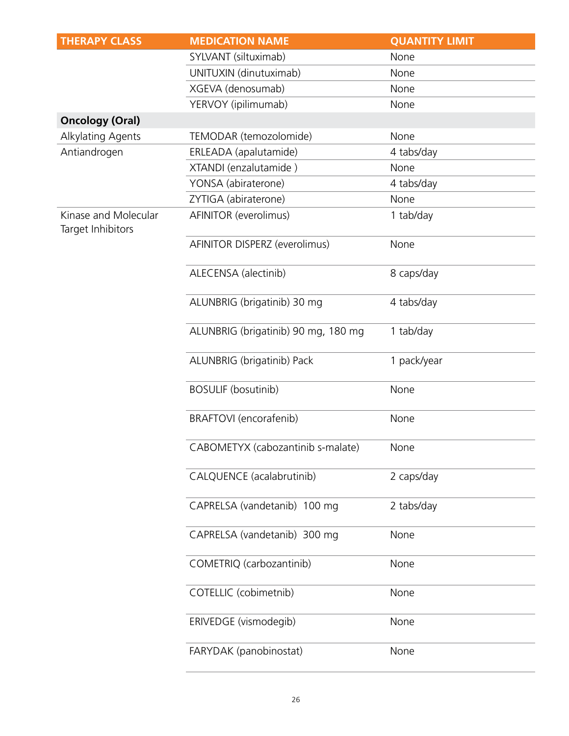| <b>THERAPY CLASS</b>                      | <b>MEDICATION NAME</b>              | <b>QUANTITY LIMIT</b> |
|-------------------------------------------|-------------------------------------|-----------------------|
|                                           | SYLVANT (siltuximab)                | None                  |
|                                           | UNITUXIN (dinutuximab)              | None                  |
|                                           | XGEVA (denosumab)                   | None                  |
|                                           | YERVOY (ipilimumab)                 | None                  |
| <b>Oncology (Oral)</b>                    |                                     |                       |
| Alkylating Agents                         | TEMODAR (temozolomide)              | None                  |
| Antiandrogen                              | ERLEADA (apalutamide)               | 4 tabs/day            |
|                                           | XTANDI (enzalutamide)               | None                  |
|                                           | YONSA (abiraterone)                 | 4 tabs/day            |
|                                           | ZYTIGA (abiraterone)                | None                  |
| Kinase and Molecular<br>Target Inhibitors | AFINITOR (everolimus)               | 1 tab/day             |
|                                           | AFINITOR DISPERZ (everolimus)       | None                  |
|                                           | ALECENSA (alectinib)                | 8 caps/day            |
|                                           | ALUNBRIG (brigatinib) 30 mg         | 4 tabs/day            |
|                                           | ALUNBRIG (brigatinib) 90 mg, 180 mg | 1 tab/day             |
|                                           | ALUNBRIG (brigatinib) Pack          | 1 pack/year           |
|                                           | <b>BOSULIF (bosutinib)</b>          | None                  |
|                                           | BRAFTOVI (encorafenib)              | None                  |
|                                           | CABOMETYX (cabozantinib s-malate)   | None                  |
|                                           | CALQUENCE (acalabrutinib)           | 2 caps/day            |
|                                           | CAPRELSA (vandetanib) 100 mg        | 2 tabs/day            |
|                                           | CAPRELSA (vandetanib) 300 mg        | None                  |
|                                           | COMETRIQ (carbozantinib)            | None                  |
|                                           | COTELLIC (cobimetnib)               | None                  |
|                                           | ERIVEDGE (vismodegib)               | None                  |
|                                           | FARYDAK (panobinostat)              | None                  |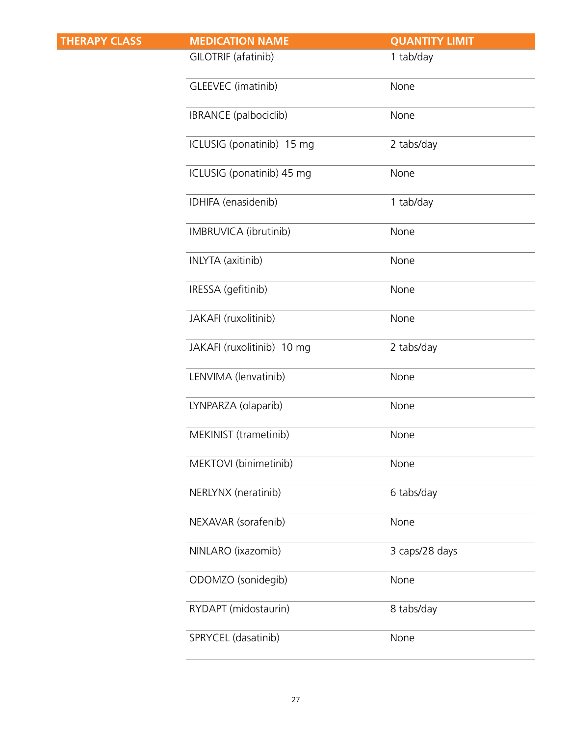| <b>THERAPY CLASS</b> | <b>MEDICATION NAME</b>     | <b>QUANTITY LIMIT</b> |
|----------------------|----------------------------|-----------------------|
|                      | GILOTRIF (afatinib)        | 1 tab/day             |
|                      | GLEEVEC (imatinib)         | None                  |
|                      | IBRANCE (palbociclib)      | None                  |
|                      | ICLUSIG (ponatinib) 15 mg  | 2 tabs/day            |
|                      | ICLUSIG (ponatinib) 45 mg  | None                  |
|                      | IDHIFA (enasidenib)        | 1 tab/day             |
|                      | IMBRUVICA (ibrutinib)      | None                  |
|                      | <b>INLYTA</b> (axitinib)   | None                  |
|                      | IRESSA (gefitinib)         | None                  |
|                      | JAKAFI (ruxolitinib)       | None                  |
|                      | JAKAFI (ruxolitinib) 10 mg | 2 tabs/day            |
|                      | LENVIMA (lenvatinib)       | None                  |
|                      | LYNPARZA (olaparib)        | None                  |
|                      | MEKINIST (trametinib)      | None                  |
|                      | MEKTOVI (binimetinib)      | None                  |
|                      | NERLYNX (neratinib)        | 6 tabs/day            |
|                      | NEXAVAR (sorafenib)        | None                  |
|                      | NINLARO (ixazomib)         | 3 caps/28 days        |
|                      | ODOMZO (sonidegib)         | None                  |
|                      | RYDAPT (midostaurin)       | 8 tabs/day            |
|                      | SPRYCEL (dasatinib)        | None                  |
|                      |                            |                       |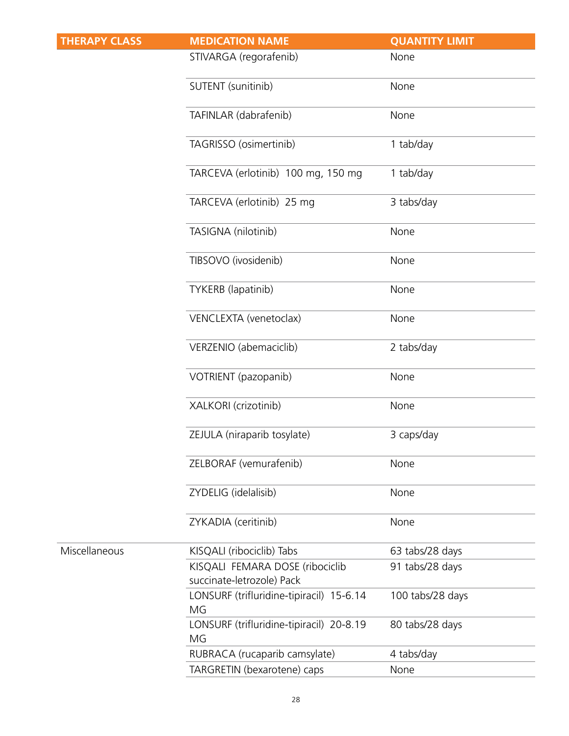| <b>THERAPY CLASS</b> | <b>MEDICATION NAME</b>                         | <b>QUANTITY LIMIT</b> |
|----------------------|------------------------------------------------|-----------------------|
|                      | STIVARGA (regorafenib)                         | None                  |
|                      | SUTENT (sunitinib)                             | None                  |
|                      | TAFINLAR (dabrafenib)                          | None                  |
|                      | TAGRISSO (osimertinib)                         | 1 tab/day             |
|                      | TARCEVA (erlotinib) 100 mg, 150 mg             | 1 tab/day             |
|                      | TARCEVA (erlotinib) 25 mg                      | 3 tabs/day            |
|                      | TASIGNA (nilotinib)                            | None                  |
|                      | TIBSOVO (ivosidenib)                           | None                  |
|                      | TYKERB (lapatinib)                             | None                  |
|                      | VENCLEXTA (venetoclax)                         | None                  |
|                      | VERZENIO (abemaciclib)                         | 2 tabs/day            |
|                      | VOTRIENT (pazopanib)                           | None                  |
|                      | XALKORI (crizotinib)                           | None                  |
|                      | ZEJULA (niraparib tosylate)                    | 3 caps/day            |
|                      | ZELBORAF (vemurafenib)                         | None                  |
|                      | ZYDELIG (idelalisib)                           | None                  |
|                      | ZYKADIA (ceritinib)                            | None                  |
| Miscellaneous        | KISQALI (ribociclib) Tabs                      | 63 tabs/28 days       |
|                      | KISQALI FEMARA DOSE (ribociclib                | 91 tabs/28 days       |
|                      | succinate-letrozole) Pack                      |                       |
|                      | LONSURF (trifluridine-tipiracil) 15-6.14<br>MG | 100 tabs/28 days      |
|                      | LONSURF (trifluridine-tipiracil) 20-8.19<br>MG | 80 tabs/28 days       |
|                      | RUBRACA (rucaparib camsylate)                  | 4 tabs/day            |
|                      | TARGRETIN (bexarotene) caps                    | None                  |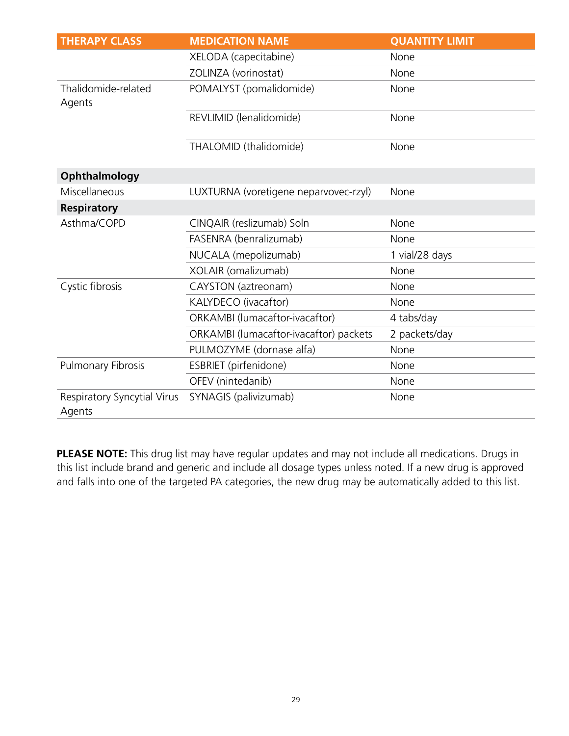| <b>THERAPY CLASS</b>                  | <b>MEDICATION NAME</b>                 | <b>QUANTITY LIMIT</b> |
|---------------------------------------|----------------------------------------|-----------------------|
|                                       | XELODA (capecitabine)                  | None                  |
|                                       | ZOLINZA (vorinostat)                   | None                  |
| Thalidomide-related<br>Agents         | POMALYST (pomalidomide)                | None                  |
|                                       | REVLIMID (lenalidomide)                | None                  |
|                                       | THALOMID (thalidomide)                 | None                  |
| Ophthalmology                         |                                        |                       |
| Miscellaneous                         | LUXTURNA (voretigene neparvovec-rzyl)  | None                  |
| <b>Respiratory</b>                    |                                        |                       |
| Asthma/COPD                           | CINQAIR (reslizumab) Soln              | None                  |
|                                       | FASENRA (benralizumab)                 | None                  |
|                                       | NUCALA (mepolizumab)                   | 1 vial/28 days        |
|                                       | XOLAIR (omalizumab)                    | None                  |
| Cystic fibrosis                       | CAYSTON (aztreonam)                    | None                  |
|                                       | KALYDECO (ivacaftor)                   | None                  |
|                                       | ORKAMBI (lumacaftor-ivacaftor)         | 4 tabs/day            |
|                                       | ORKAMBI (lumacaftor-ivacaftor) packets | 2 packets/day         |
|                                       | PULMOZYME (dornase alfa)               | None                  |
| Pulmonary Fibrosis                    | ESBRIET (pirfenidone)                  | None                  |
|                                       | OFEV (nintedanib)                      | None                  |
| Respiratory Syncytial Virus<br>Agents | SYNAGIS (palivizumab)                  | None                  |

**PLEASE NOTE:** This drug list may have regular updates and may not include all medications. Drugs in this list include brand and generic and include all dosage types unless noted. If a new drug is approved and falls into one of the targeted PA categories, the new drug may be automatically added to this list.